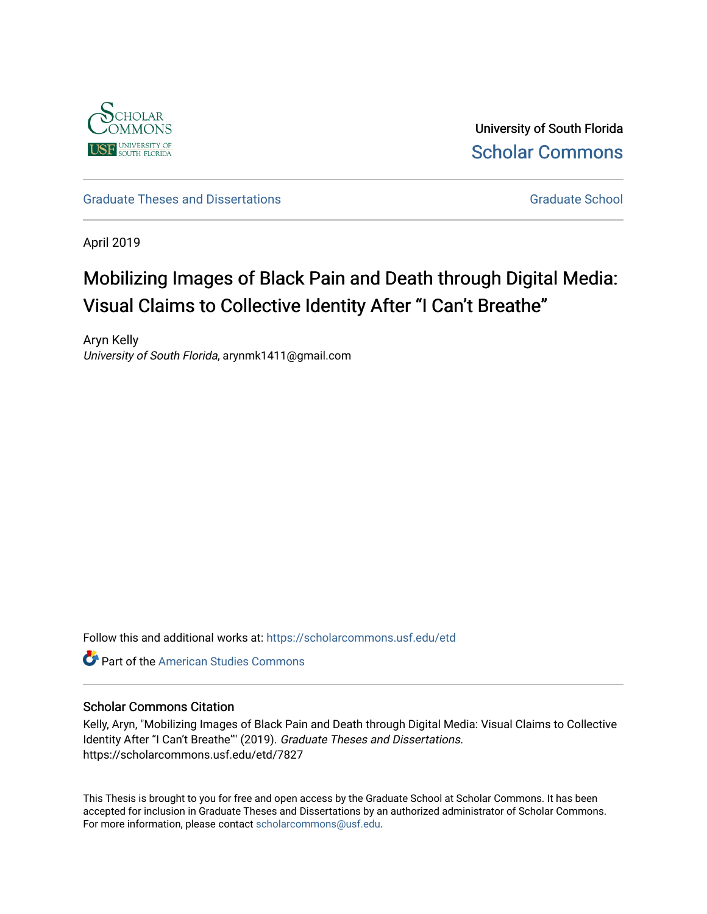

University of South Florida [Scholar Commons](https://scholarcommons.usf.edu/) 

[Graduate Theses and Dissertations](https://scholarcommons.usf.edu/etd) [Graduate School](https://scholarcommons.usf.edu/grad) Craduate School Craduate School

April 2019

# Mobilizing Images of Black Pain and Death through Digital Media: Visual Claims to Collective Identity After "I Can't Breathe"

Aryn Kelly University of South Florida, arynmk1411@gmail.com

Follow this and additional works at: [https://scholarcommons.usf.edu/etd](https://scholarcommons.usf.edu/etd?utm_source=scholarcommons.usf.edu%2Fetd%2F7827&utm_medium=PDF&utm_campaign=PDFCoverPages) 

**C** Part of the [American Studies Commons](http://network.bepress.com/hgg/discipline/439?utm_source=scholarcommons.usf.edu%2Fetd%2F7827&utm_medium=PDF&utm_campaign=PDFCoverPages)

## Scholar Commons Citation

Kelly, Aryn, "Mobilizing Images of Black Pain and Death through Digital Media: Visual Claims to Collective Identity After "I Can't Breathe"" (2019). Graduate Theses and Dissertations. https://scholarcommons.usf.edu/etd/7827

This Thesis is brought to you for free and open access by the Graduate School at Scholar Commons. It has been accepted for inclusion in Graduate Theses and Dissertations by an authorized administrator of Scholar Commons. For more information, please contact [scholarcommons@usf.edu.](mailto:scholarcommons@usf.edu)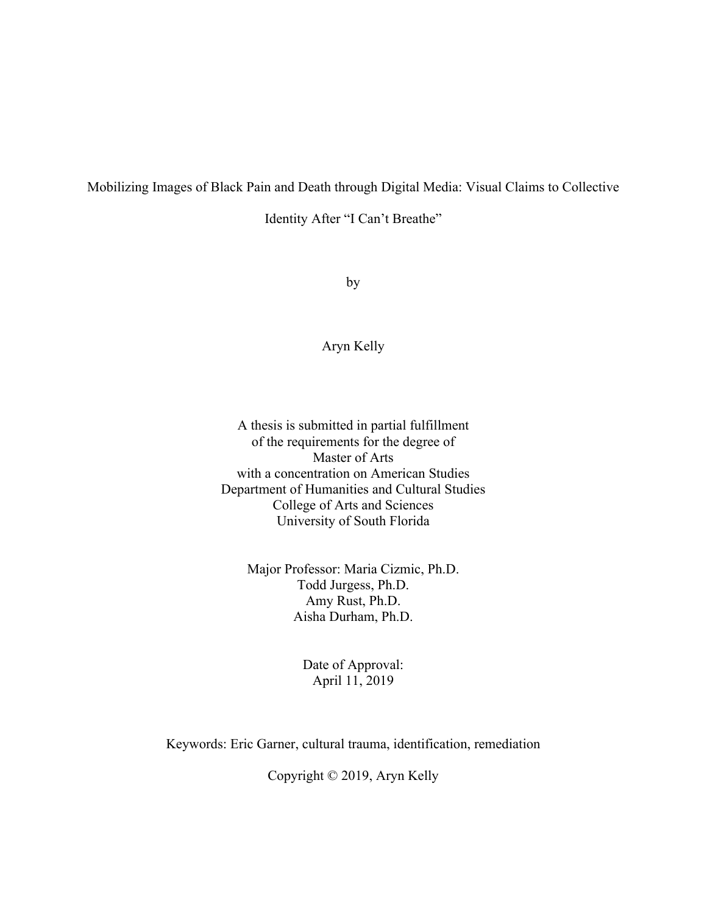# Mobilizing Images of Black Pain and Death through Digital Media: Visual Claims to Collective

Identity After "I Can't Breathe"

by

# Aryn Kelly

A thesis is submitted in partial fulfillment of the requirements for the degree of Master of Arts with a concentration on American Studies Department of Humanities and Cultural Studies College of Arts and Sciences University of South Florida

Major Professor: Maria Cizmic, Ph.D. Todd Jurgess, Ph.D. Amy Rust, Ph.D. Aisha Durham, Ph.D.

### Date of Approval: April 11, 2019

Keywords: Eric Garner, cultural trauma, identification, remediation

Copyright © 2019, Aryn Kelly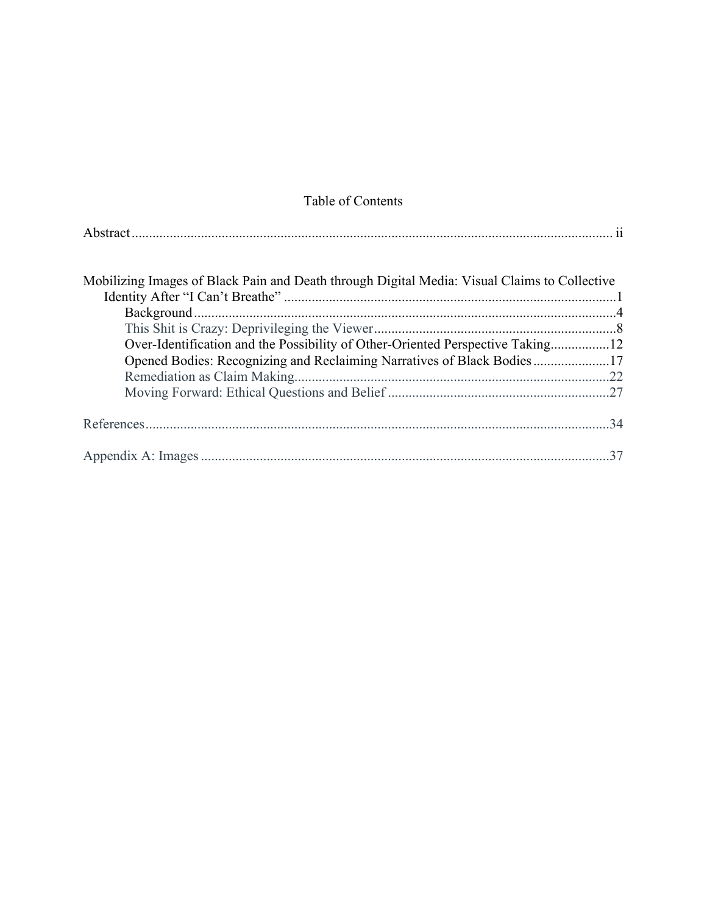# Table of Contents

| Mobilizing Images of Black Pain and Death through Digital Media: Visual Claims to Collective |  |
|----------------------------------------------------------------------------------------------|--|
|                                                                                              |  |
|                                                                                              |  |
|                                                                                              |  |
| Over-Identification and the Possibility of Other-Oriented Perspective Taking12               |  |
| Opened Bodies: Recognizing and Reclaiming Narratives of Black Bodies17                       |  |
|                                                                                              |  |
|                                                                                              |  |
|                                                                                              |  |
|                                                                                              |  |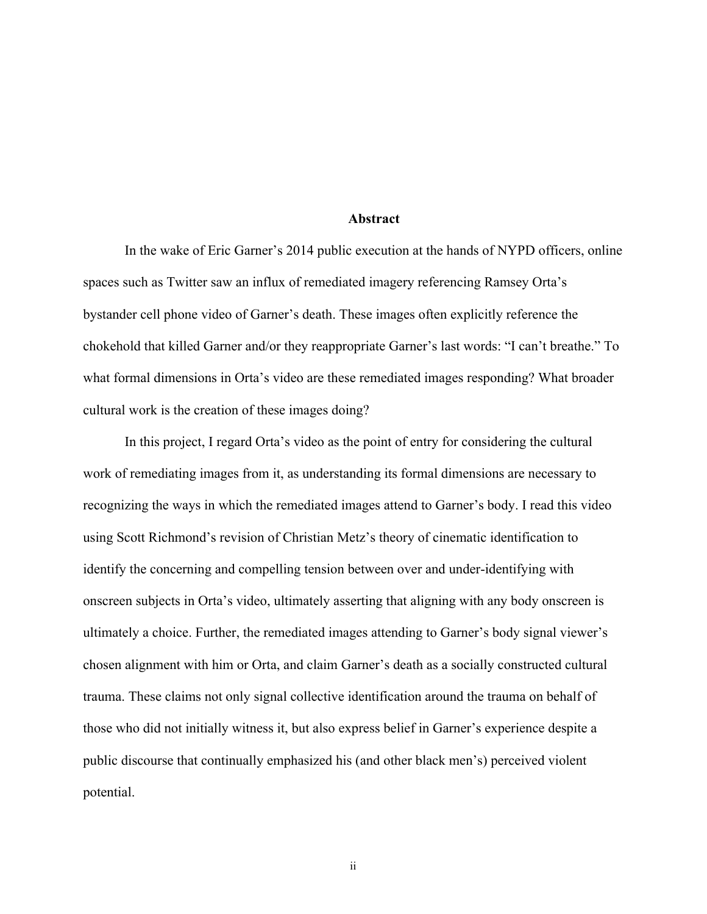#### **Abstract**

In the wake of Eric Garner's 2014 public execution at the hands of NYPD officers, online spaces such as Twitter saw an influx of remediated imagery referencing Ramsey Orta's bystander cell phone video of Garner's death. These images often explicitly reference the chokehold that killed Garner and/or they reappropriate Garner's last words: "I can't breathe." To what formal dimensions in Orta's video are these remediated images responding? What broader cultural work is the creation of these images doing?

In this project, I regard Orta's video as the point of entry for considering the cultural work of remediating images from it, as understanding its formal dimensions are necessary to recognizing the ways in which the remediated images attend to Garner's body. I read this video using Scott Richmond's revision of Christian Metz's theory of cinematic identification to identify the concerning and compelling tension between over and under-identifying with onscreen subjects in Orta's video, ultimately asserting that aligning with any body onscreen is ultimately a choice. Further, the remediated images attending to Garner's body signal viewer's chosen alignment with him or Orta, and claim Garner's death as a socially constructed cultural trauma. These claims not only signal collective identification around the trauma on behalf of those who did not initially witness it, but also express belief in Garner's experience despite a public discourse that continually emphasized his (and other black men's) perceived violent potential.

ii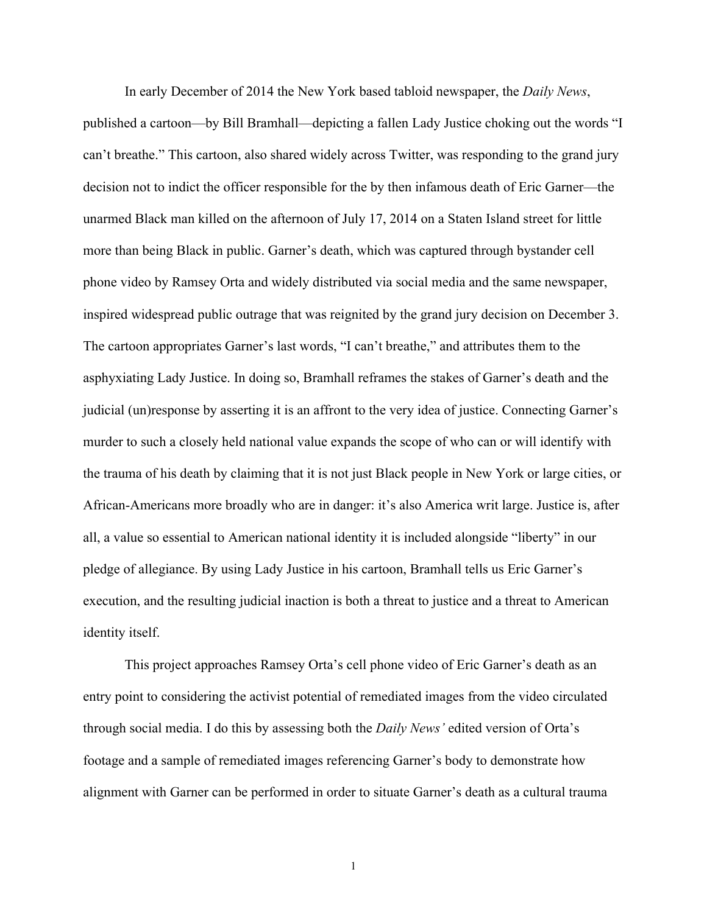In early December of 2014 the New York based tabloid newspaper, the *Daily News*, published a cartoon—by Bill Bramhall—depicting a fallen Lady Justice choking out the words "I can't breathe." This cartoon, also shared widely across Twitter, was responding to the grand jury decision not to indict the officer responsible for the by then infamous death of Eric Garner—the unarmed Black man killed on the afternoon of July 17, 2014 on a Staten Island street for little more than being Black in public. Garner's death, which was captured through bystander cell phone video by Ramsey Orta and widely distributed via social media and the same newspaper, inspired widespread public outrage that was reignited by the grand jury decision on December 3. The cartoon appropriates Garner's last words, "I can't breathe," and attributes them to the asphyxiating Lady Justice. In doing so, Bramhall reframes the stakes of Garner's death and the judicial (un)response by asserting it is an affront to the very idea of justice. Connecting Garner's murder to such a closely held national value expands the scope of who can or will identify with the trauma of his death by claiming that it is not just Black people in New York or large cities, or African-Americans more broadly who are in danger: it's also America writ large. Justice is, after all, a value so essential to American national identity it is included alongside "liberty" in our pledge of allegiance. By using Lady Justice in his cartoon, Bramhall tells us Eric Garner's execution, and the resulting judicial inaction is both a threat to justice and a threat to American identity itself.

This project approaches Ramsey Orta's cell phone video of Eric Garner's death as an entry point to considering the activist potential of remediated images from the video circulated through social media. I do this by assessing both the *Daily News'* edited version of Orta's footage and a sample of remediated images referencing Garner's body to demonstrate how alignment with Garner can be performed in order to situate Garner's death as a cultural trauma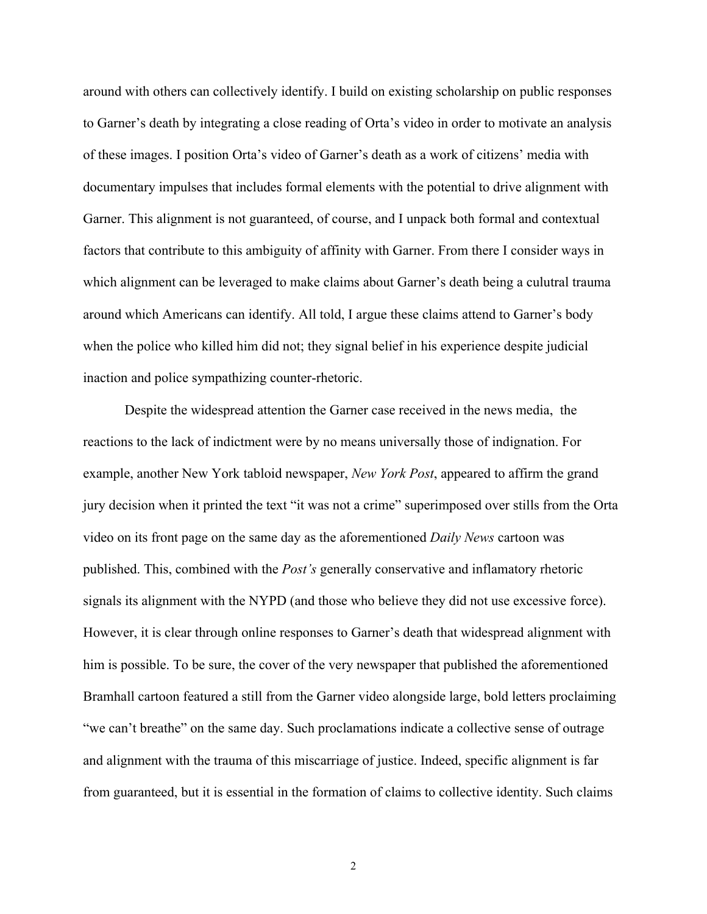around with others can collectively identify. I build on existing scholarship on public responses to Garner's death by integrating a close reading of Orta's video in order to motivate an analysis of these images. I position Orta's video of Garner's death as a work of citizens' media with documentary impulses that includes formal elements with the potential to drive alignment with Garner. This alignment is not guaranteed, of course, and I unpack both formal and contextual factors that contribute to this ambiguity of affinity with Garner. From there I consider ways in which alignment can be leveraged to make claims about Garner's death being a culutral trauma around which Americans can identify. All told, I argue these claims attend to Garner's body when the police who killed him did not; they signal belief in his experience despite judicial inaction and police sympathizing counter-rhetoric.

Despite the widespread attention the Garner case received in the news media, the reactions to the lack of indictment were by no means universally those of indignation. For example, another New York tabloid newspaper, *New York Post*, appeared to affirm the grand jury decision when it printed the text "it was not a crime" superimposed over stills from the Orta video on its front page on the same day as the aforementioned *Daily News* cartoon was published. This, combined with the *Post's* generally conservative and inflamatory rhetoric signals its alignment with the NYPD (and those who believe they did not use excessive force). However, it is clear through online responses to Garner's death that widespread alignment with him is possible. To be sure, the cover of the very newspaper that published the aforementioned Bramhall cartoon featured a still from the Garner video alongside large, bold letters proclaiming "we can't breathe" on the same day. Such proclamations indicate a collective sense of outrage and alignment with the trauma of this miscarriage of justice. Indeed, specific alignment is far from guaranteed, but it is essential in the formation of claims to collective identity. Such claims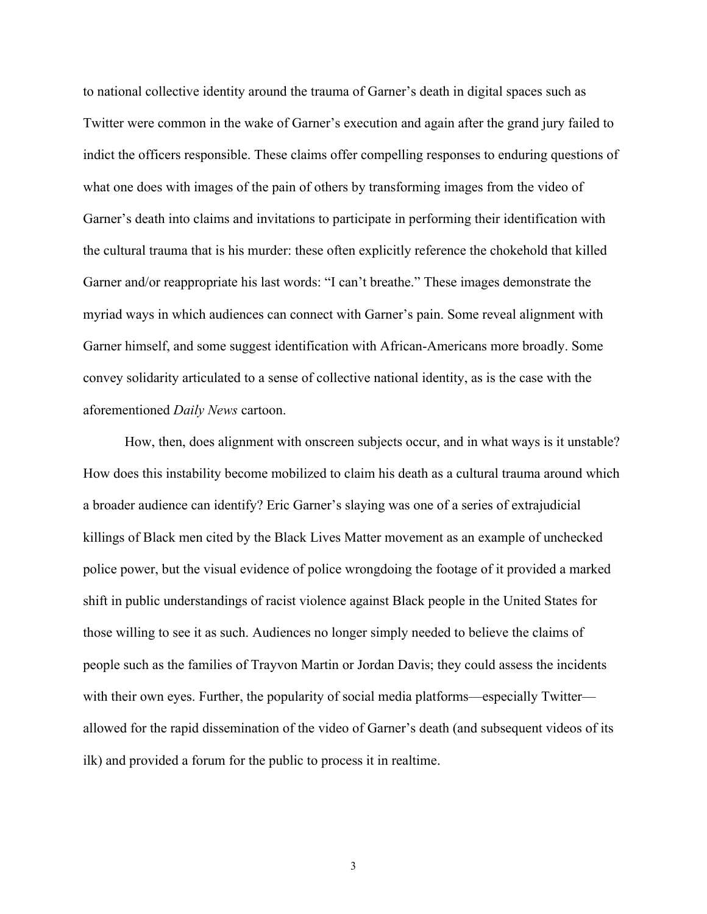to national collective identity around the trauma of Garner's death in digital spaces such as Twitter were common in the wake of Garner's execution and again after the grand jury failed to indict the officers responsible. These claims offer compelling responses to enduring questions of what one does with images of the pain of others by transforming images from the video of Garner's death into claims and invitations to participate in performing their identification with the cultural trauma that is his murder: these often explicitly reference the chokehold that killed Garner and/or reappropriate his last words: "I can't breathe." These images demonstrate the myriad ways in which audiences can connect with Garner's pain. Some reveal alignment with Garner himself, and some suggest identification with African-Americans more broadly. Some convey solidarity articulated to a sense of collective national identity, as is the case with the aforementioned *Daily News* cartoon.

How, then, does alignment with onscreen subjects occur, and in what ways is it unstable? How does this instability become mobilized to claim his death as a cultural trauma around which a broader audience can identify? Eric Garner's slaying was one of a series of extrajudicial killings of Black men cited by the Black Lives Matter movement as an example of unchecked police power, but the visual evidence of police wrongdoing the footage of it provided a marked shift in public understandings of racist violence against Black people in the United States for those willing to see it as such. Audiences no longer simply needed to believe the claims of people such as the families of Trayvon Martin or Jordan Davis; they could assess the incidents with their own eyes. Further, the popularity of social media platforms—especially Twitter allowed for the rapid dissemination of the video of Garner's death (and subsequent videos of its ilk) and provided a forum for the public to process it in realtime.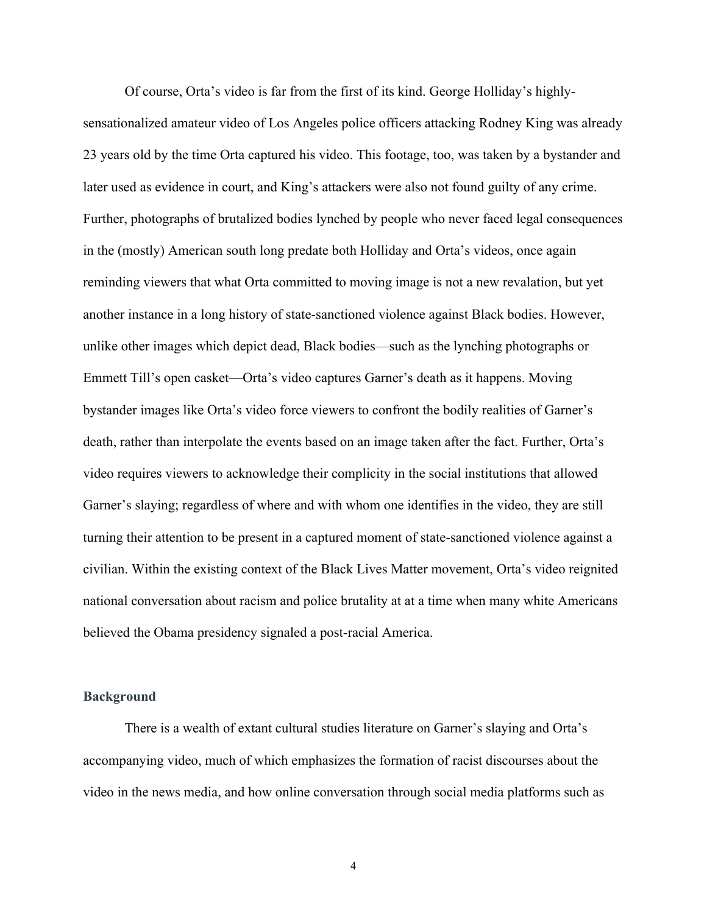Of course, Orta's video is far from the first of its kind. George Holliday's highlysensationalized amateur video of Los Angeles police officers attacking Rodney King was already 23 years old by the time Orta captured his video. This footage, too, was taken by a bystander and later used as evidence in court, and King's attackers were also not found guilty of any crime. Further, photographs of brutalized bodies lynched by people who never faced legal consequences in the (mostly) American south long predate both Holliday and Orta's videos, once again reminding viewers that what Orta committed to moving image is not a new revalation, but yet another instance in a long history of state-sanctioned violence against Black bodies. However, unlike other images which depict dead, Black bodies—such as the lynching photographs or Emmett Till's open casket—Orta's video captures Garner's death as it happens. Moving bystander images like Orta's video force viewers to confront the bodily realities of Garner's death, rather than interpolate the events based on an image taken after the fact. Further, Orta's video requires viewers to acknowledge their complicity in the social institutions that allowed Garner's slaying; regardless of where and with whom one identifies in the video, they are still turning their attention to be present in a captured moment of state-sanctioned violence against a civilian. Within the existing context of the Black Lives Matter movement, Orta's video reignited national conversation about racism and police brutality at at a time when many white Americans believed the Obama presidency signaled a post-racial America.

#### **Background**

There is a wealth of extant cultural studies literature on Garner's slaying and Orta's accompanying video, much of which emphasizes the formation of racist discourses about the video in the news media, and how online conversation through social media platforms such as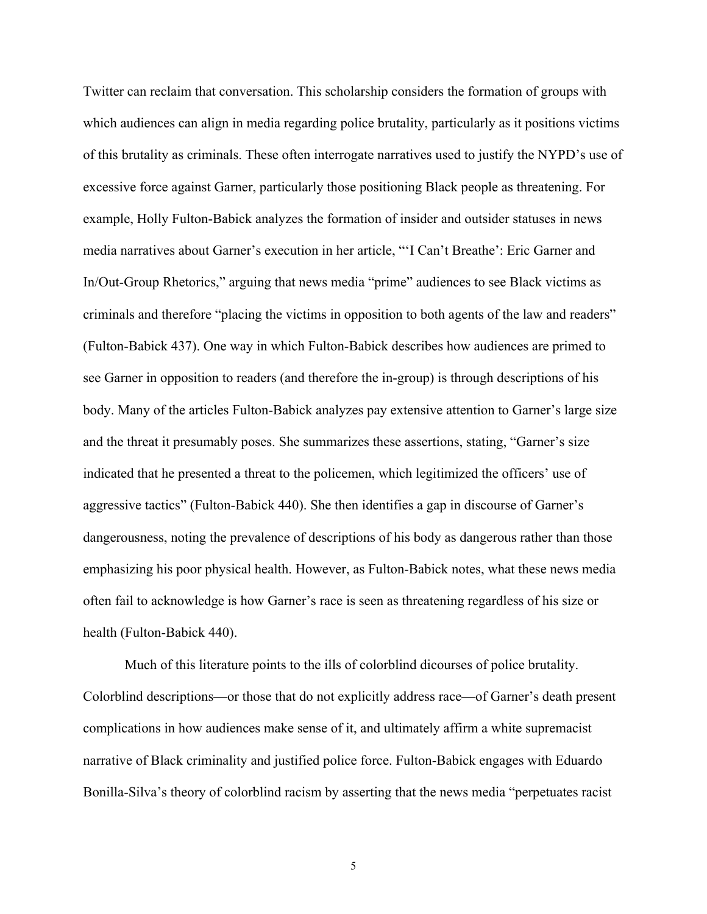Twitter can reclaim that conversation. This scholarship considers the formation of groups with which audiences can align in media regarding police brutality, particularly as it positions victims of this brutality as criminals. These often interrogate narratives used to justify the NYPD's use of excessive force against Garner, particularly those positioning Black people as threatening. For example, Holly Fulton-Babick analyzes the formation of insider and outsider statuses in news media narratives about Garner's execution in her article, "'I Can't Breathe': Eric Garner and In/Out-Group Rhetorics," arguing that news media "prime" audiences to see Black victims as criminals and therefore "placing the victims in opposition to both agents of the law and readers" (Fulton-Babick 437). One way in which Fulton-Babick describes how audiences are primed to see Garner in opposition to readers (and therefore the in-group) is through descriptions of his body. Many of the articles Fulton-Babick analyzes pay extensive attention to Garner's large size and the threat it presumably poses. She summarizes these assertions, stating, "Garner's size indicated that he presented a threat to the policemen, which legitimized the officers' use of aggressive tactics" (Fulton-Babick 440). She then identifies a gap in discourse of Garner's dangerousness, noting the prevalence of descriptions of his body as dangerous rather than those emphasizing his poor physical health. However, as Fulton-Babick notes, what these news media often fail to acknowledge is how Garner's race is seen as threatening regardless of his size or health (Fulton-Babick 440).

Much of this literature points to the ills of colorblind dicourses of police brutality. Colorblind descriptions—or those that do not explicitly address race—of Garner's death present complications in how audiences make sense of it, and ultimately affirm a white supremacist narrative of Black criminality and justified police force. Fulton-Babick engages with Eduardo Bonilla-Silva's theory of colorblind racism by asserting that the news media "perpetuates racist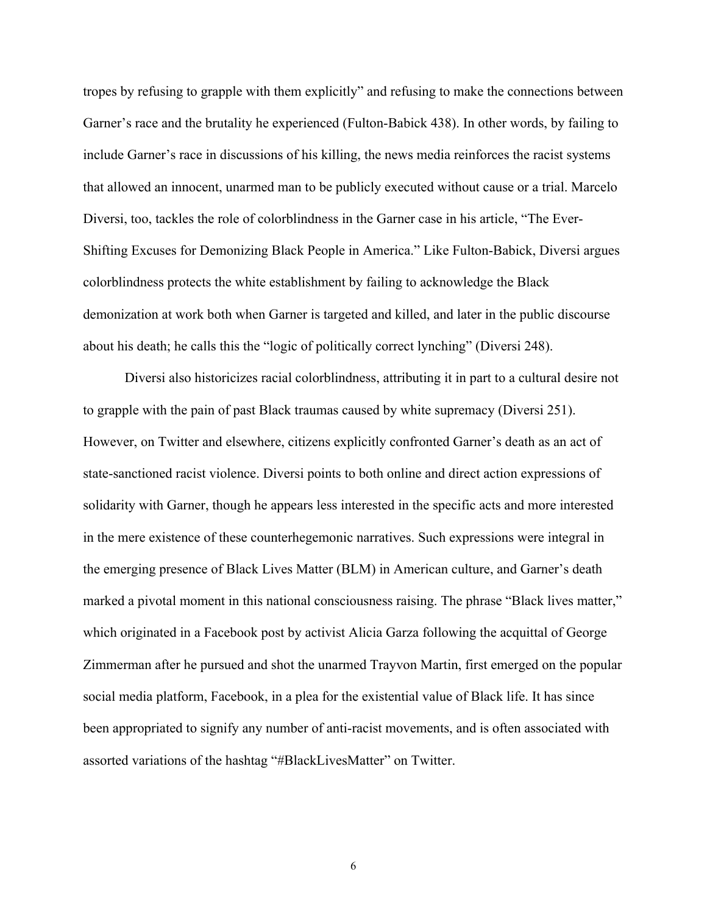tropes by refusing to grapple with them explicitly" and refusing to make the connections between Garner's race and the brutality he experienced (Fulton-Babick 438). In other words, by failing to include Garner's race in discussions of his killing, the news media reinforces the racist systems that allowed an innocent, unarmed man to be publicly executed without cause or a trial. Marcelo Diversi, too, tackles the role of colorblindness in the Garner case in his article, "The Ever-Shifting Excuses for Demonizing Black People in America." Like Fulton-Babick, Diversi argues colorblindness protects the white establishment by failing to acknowledge the Black demonization at work both when Garner is targeted and killed, and later in the public discourse about his death; he calls this the "logic of politically correct lynching" (Diversi 248).

Diversi also historicizes racial colorblindness, attributing it in part to a cultural desire not to grapple with the pain of past Black traumas caused by white supremacy (Diversi 251). However, on Twitter and elsewhere, citizens explicitly confronted Garner's death as an act of state-sanctioned racist violence. Diversi points to both online and direct action expressions of solidarity with Garner, though he appears less interested in the specific acts and more interested in the mere existence of these counterhegemonic narratives. Such expressions were integral in the emerging presence of Black Lives Matter (BLM) in American culture, and Garner's death marked a pivotal moment in this national consciousness raising. The phrase "Black lives matter," which originated in a Facebook post by activist Alicia Garza following the acquittal of George Zimmerman after he pursued and shot the unarmed Trayvon Martin, first emerged on the popular social media platform, Facebook, in a plea for the existential value of Black life. It has since been appropriated to signify any number of anti-racist movements, and is often associated with assorted variations of the hashtag "#BlackLivesMatter" on Twitter.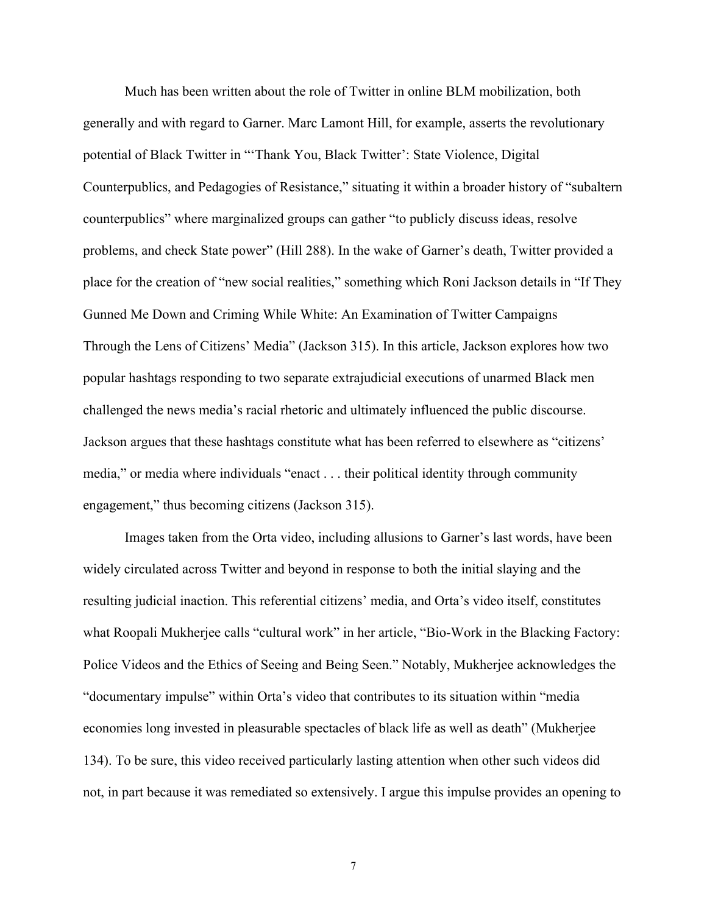Much has been written about the role of Twitter in online BLM mobilization, both generally and with regard to Garner. Marc Lamont Hill, for example, asserts the revolutionary potential of Black Twitter in "'Thank You, Black Twitter': State Violence, Digital Counterpublics, and Pedagogies of Resistance," situating it within a broader history of "subaltern counterpublics" where marginalized groups can gather "to publicly discuss ideas, resolve problems, and check State power" (Hill 288). In the wake of Garner's death, Twitter provided a place for the creation of "new social realities," something which Roni Jackson details in "If They Gunned Me Down and Criming While White: An Examination of Twitter Campaigns Through the Lens of Citizens' Media" (Jackson 315). In this article, Jackson explores how two popular hashtags responding to two separate extrajudicial executions of unarmed Black men challenged the news media's racial rhetoric and ultimately influenced the public discourse. Jackson argues that these hashtags constitute what has been referred to elsewhere as "citizens' media," or media where individuals "enact . . . their political identity through community engagement," thus becoming citizens (Jackson 315).

Images taken from the Orta video, including allusions to Garner's last words, have been widely circulated across Twitter and beyond in response to both the initial slaying and the resulting judicial inaction. This referential citizens' media, and Orta's video itself, constitutes what Roopali Mukherjee calls "cultural work" in her article, "Bio-Work in the Blacking Factory: Police Videos and the Ethics of Seeing and Being Seen." Notably, Mukherjee acknowledges the "documentary impulse" within Orta's video that contributes to its situation within "media economies long invested in pleasurable spectacles of black life as well as death" (Mukherjee 134). To be sure, this video received particularly lasting attention when other such videos did not, in part because it was remediated so extensively. I argue this impulse provides an opening to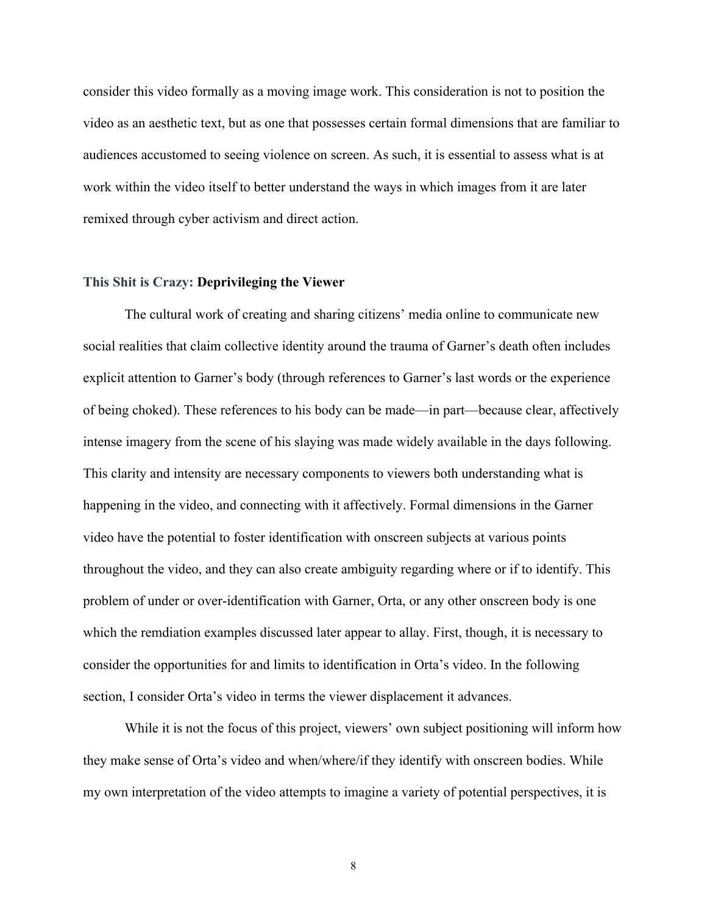consider this video formally as a moving image work. This consideration is not to position the video as an aesthetic text, but as one that possesses certain formal dimensions that are familiar to audiences accustomed to seeing violence on screen. As such, it is essential to assess what is at work within the video itself to better understand the ways in which images from it are later remixed through cyber activism and direct action.

#### **This Shit is Crazy: Deprivileging the Viewer**

The cultural work of creating and sharing citizens' media online to communicate new social realities that claim collective identity around the trauma of Garner's death often includes explicit attention to Garner's body (through references to Garner's last words or the experience of being choked). These references to his body can be made—in part—because clear, affectively intense imagery from the scene of his slaying was made widely available in the days following. This clarity and intensity are necessary components to viewers both understanding what is happening in the video, and connecting with it affectively. Formal dimensions in the Garner video have the potential to foster identification with onscreen subjects at various points throughout the video, and they can also create ambiguity regarding where or if to identify. This problem of under or over-identification with Garner, Orta, or any other onscreen body is one which the remdiation examples discussed later appear to allay. First, though, it is necessary to consider the opportunities for and limits to identification in Orta's video. In the following section, I consider Orta's video in terms the viewer displacement it advances.

While it is not the focus of this project, viewers' own subject positioning will inform how they make sense of Orta's video and when/where/if they identify with onscreen bodies. While my own interpretation of the video attempts to imagine a variety of potential perspectives, it is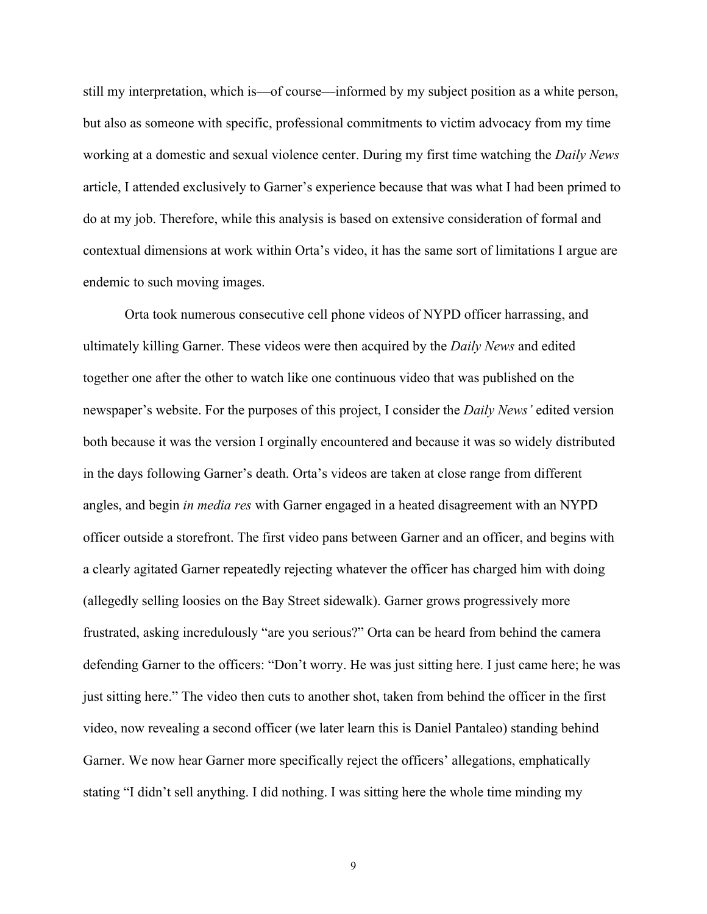still my interpretation, which is—of course—informed by my subject position as a white person, but also as someone with specific, professional commitments to victim advocacy from my time working at a domestic and sexual violence center. During my first time watching the *Daily News*  article, I attended exclusively to Garner's experience because that was what I had been primed to do at my job. Therefore, while this analysis is based on extensive consideration of formal and contextual dimensions at work within Orta's video, it has the same sort of limitations I argue are endemic to such moving images.

Orta took numerous consecutive cell phone videos of NYPD officer harrassing, and ultimately killing Garner. These videos were then acquired by the *Daily News* and edited together one after the other to watch like one continuous video that was published on the newspaper's website. For the purposes of this project, I consider the *Daily News'* edited version both because it was the version I orginally encountered and because it was so widely distributed in the days following Garner's death. Orta's videos are taken at close range from different angles, and begin *in media res* with Garner engaged in a heated disagreement with an NYPD officer outside a storefront. The first video pans between Garner and an officer, and begins with a clearly agitated Garner repeatedly rejecting whatever the officer has charged him with doing (allegedly selling loosies on the Bay Street sidewalk). Garner grows progressively more frustrated, asking incredulously "are you serious?" Orta can be heard from behind the camera defending Garner to the officers: "Don't worry. He was just sitting here. I just came here; he was just sitting here." The video then cuts to another shot, taken from behind the officer in the first video, now revealing a second officer (we later learn this is Daniel Pantaleo) standing behind Garner. We now hear Garner more specifically reject the officers' allegations, emphatically stating "I didn't sell anything. I did nothing. I was sitting here the whole time minding my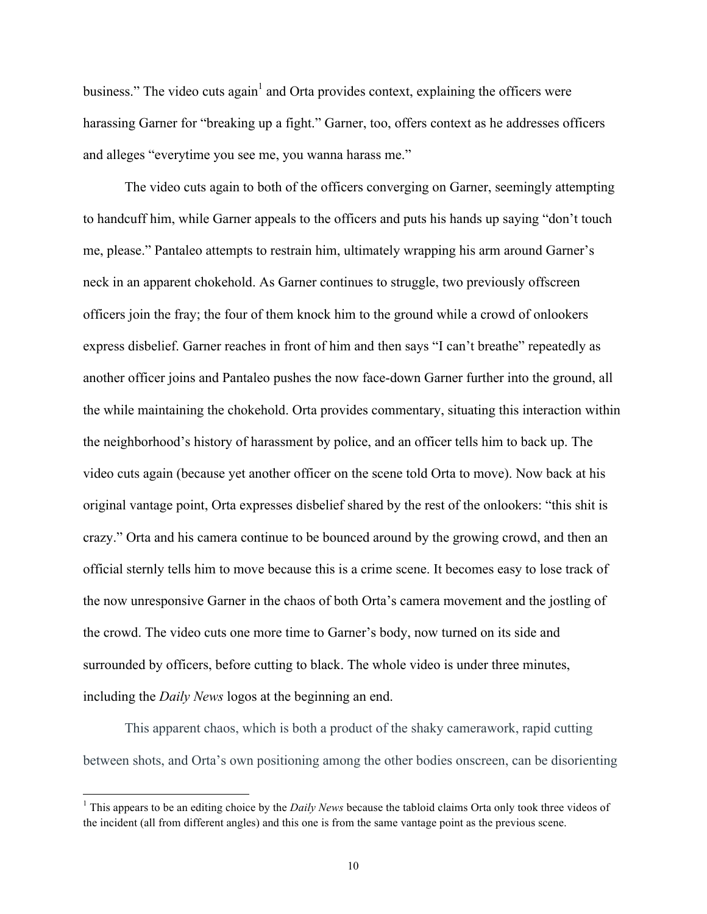business." The video cuts again<sup>1</sup> and Orta provides context, explaining the officers were harassing Garner for "breaking up a fight." Garner, too, offers context as he addresses officers and alleges "everytime you see me, you wanna harass me."

The video cuts again to both of the officers converging on Garner, seemingly attempting to handcuff him, while Garner appeals to the officers and puts his hands up saying "don't touch me, please." Pantaleo attempts to restrain him, ultimately wrapping his arm around Garner's neck in an apparent chokehold. As Garner continues to struggle, two previously offscreen officers join the fray; the four of them knock him to the ground while a crowd of onlookers express disbelief. Garner reaches in front of him and then says "I can't breathe" repeatedly as another officer joins and Pantaleo pushes the now face-down Garner further into the ground, all the while maintaining the chokehold. Orta provides commentary, situating this interaction within the neighborhood's history of harassment by police, and an officer tells him to back up. The video cuts again (because yet another officer on the scene told Orta to move). Now back at his original vantage point, Orta expresses disbelief shared by the rest of the onlookers: "this shit is crazy." Orta and his camera continue to be bounced around by the growing crowd, and then an official sternly tells him to move because this is a crime scene. It becomes easy to lose track of the now unresponsive Garner in the chaos of both Orta's camera movement and the jostling of the crowd. The video cuts one more time to Garner's body, now turned on its side and surrounded by officers, before cutting to black. The whole video is under three minutes, including the *Daily News* logos at the beginning an end.

This apparent chaos, which is both a product of the shaky camerawork, rapid cutting between shots, and Orta's own positioning among the other bodies onscreen, can be disorienting

<sup>&</sup>lt;sup>1</sup> This appears to be an editing choice by the *Daily News* because the tabloid claims Orta only took three videos of the incident (all from different angles) and this one is from the same vantage point as the previous scene.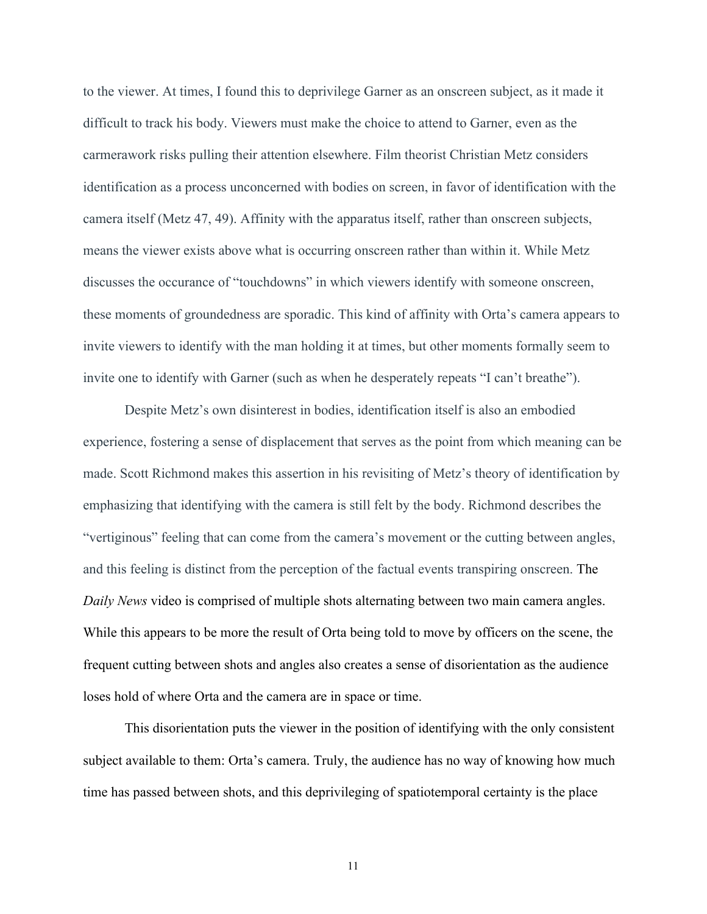to the viewer. At times, I found this to deprivilege Garner as an onscreen subject, as it made it difficult to track his body. Viewers must make the choice to attend to Garner, even as the carmerawork risks pulling their attention elsewhere. Film theorist Christian Metz considers identification as a process unconcerned with bodies on screen, in favor of identification with the camera itself (Metz 47, 49). Affinity with the apparatus itself, rather than onscreen subjects, means the viewer exists above what is occurring onscreen rather than within it. While Metz discusses the occurance of "touchdowns" in which viewers identify with someone onscreen, these moments of groundedness are sporadic. This kind of affinity with Orta's camera appears to invite viewers to identify with the man holding it at times, but other moments formally seem to invite one to identify with Garner (such as when he desperately repeats "I can't breathe").

Despite Metz's own disinterest in bodies, identification itself is also an embodied experience, fostering a sense of displacement that serves as the point from which meaning can be made. Scott Richmond makes this assertion in his revisiting of Metz's theory of identification by emphasizing that identifying with the camera is still felt by the body. Richmond describes the "vertiginous" feeling that can come from the camera's movement or the cutting between angles, and this feeling is distinct from the perception of the factual events transpiring onscreen. The *Daily News* video is comprised of multiple shots alternating between two main camera angles. While this appears to be more the result of Orta being told to move by officers on the scene, the frequent cutting between shots and angles also creates a sense of disorientation as the audience loses hold of where Orta and the camera are in space or time.

This disorientation puts the viewer in the position of identifying with the only consistent subject available to them: Orta's camera. Truly, the audience has no way of knowing how much time has passed between shots, and this deprivileging of spatiotemporal certainty is the place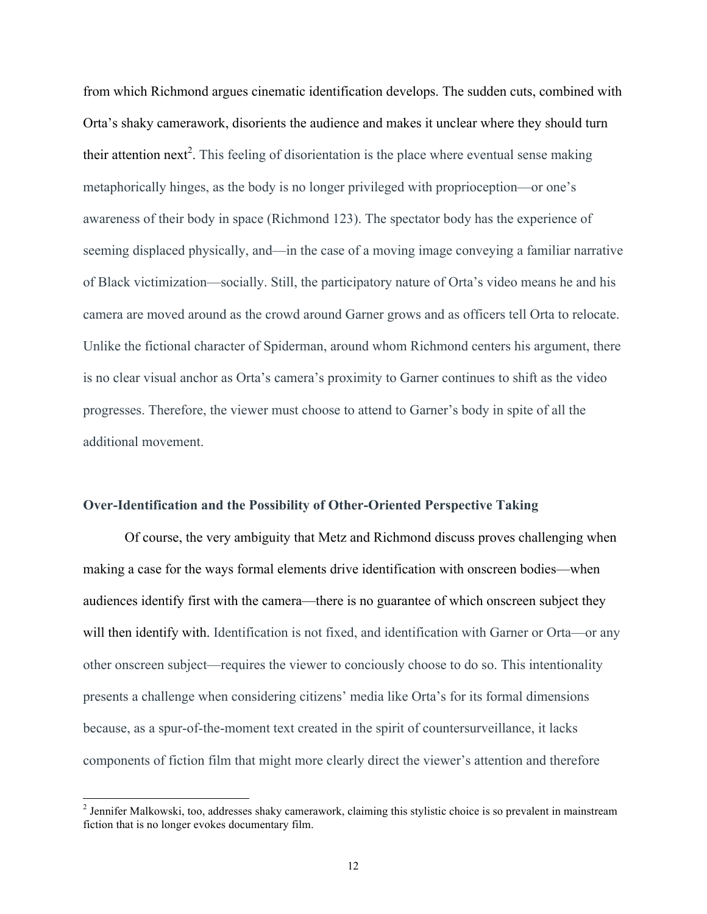from which Richmond argues cinematic identification develops. The sudden cuts, combined with Orta's shaky camerawork, disorients the audience and makes it unclear where they should turn their attention next<sup>2</sup>. This feeling of disorientation is the place where eventual sense making metaphorically hinges, as the body is no longer privileged with proprioception—or one's awareness of their body in space (Richmond 123). The spectator body has the experience of seeming displaced physically, and—in the case of a moving image conveying a familiar narrative of Black victimization—socially. Still, the participatory nature of Orta's video means he and his camera are moved around as the crowd around Garner grows and as officers tell Orta to relocate. Unlike the fictional character of Spiderman, around whom Richmond centers his argument, there is no clear visual anchor as Orta's camera's proximity to Garner continues to shift as the video progresses. Therefore, the viewer must choose to attend to Garner's body in spite of all the additional movement.

#### **Over-Identification and the Possibility of Other-Oriented Perspective Taking**

Of course, the very ambiguity that Metz and Richmond discuss proves challenging when making a case for the ways formal elements drive identification with onscreen bodies—when audiences identify first with the camera—there is no guarantee of which onscreen subject they will then identify with. Identification is not fixed, and identification with Garner or Orta—or any other onscreen subject—requires the viewer to conciously choose to do so. This intentionality presents a challenge when considering citizens' media like Orta's for its formal dimensions because, as a spur-of-the-moment text created in the spirit of countersurveillance, it lacks components of fiction film that might more clearly direct the viewer's attention and therefore

<sup>&</sup>lt;sup>2</sup> Jennifer Malkowski, too, addresses shaky camerawork, claiming this stylistic choice is so prevalent in mainstream fiction that is no longer evokes documentary film.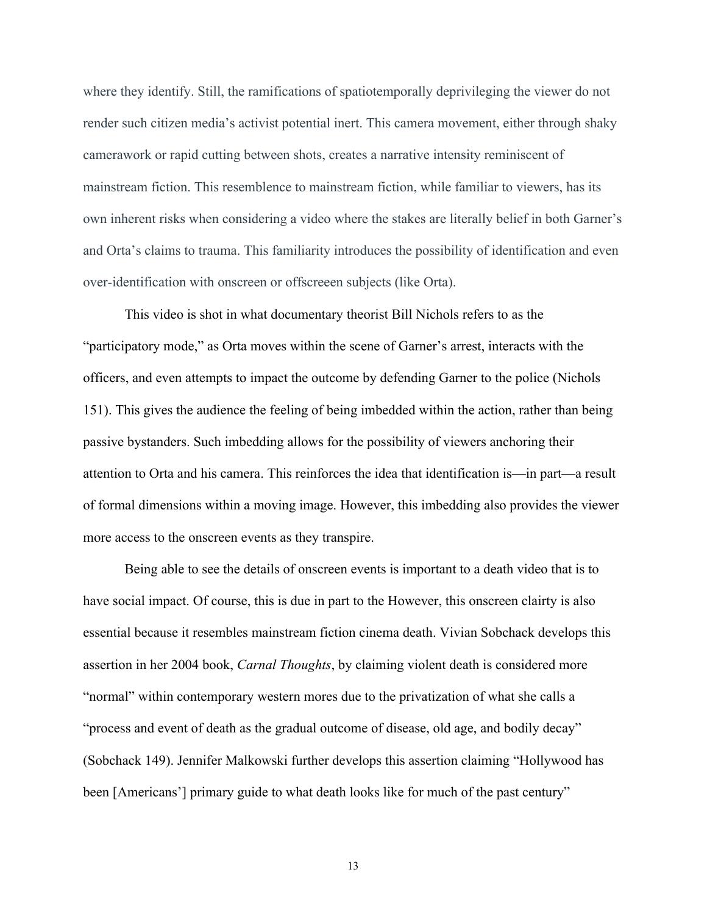where they identify. Still, the ramifications of spatiotemporally deprivileging the viewer do not render such citizen media's activist potential inert. This camera movement, either through shaky camerawork or rapid cutting between shots, creates a narrative intensity reminiscent of mainstream fiction. This resemblence to mainstream fiction, while familiar to viewers, has its own inherent risks when considering a video where the stakes are literally belief in both Garner's and Orta's claims to trauma. This familiarity introduces the possibility of identification and even over-identification with onscreen or offscreeen subjects (like Orta).

This video is shot in what documentary theorist Bill Nichols refers to as the "participatory mode," as Orta moves within the scene of Garner's arrest, interacts with the officers, and even attempts to impact the outcome by defending Garner to the police (Nichols 151). This gives the audience the feeling of being imbedded within the action, rather than being passive bystanders. Such imbedding allows for the possibility of viewers anchoring their attention to Orta and his camera. This reinforces the idea that identification is—in part—a result of formal dimensions within a moving image. However, this imbedding also provides the viewer more access to the onscreen events as they transpire.

Being able to see the details of onscreen events is important to a death video that is to have social impact. Of course, this is due in part to the However, this onscreen clairty is also essential because it resembles mainstream fiction cinema death. Vivian Sobchack develops this assertion in her 2004 book, *Carnal Thoughts*, by claiming violent death is considered more "normal" within contemporary western mores due to the privatization of what she calls a "process and event of death as the gradual outcome of disease, old age, and bodily decay" (Sobchack 149). Jennifer Malkowski further develops this assertion claiming "Hollywood has been [Americans'] primary guide to what death looks like for much of the past century"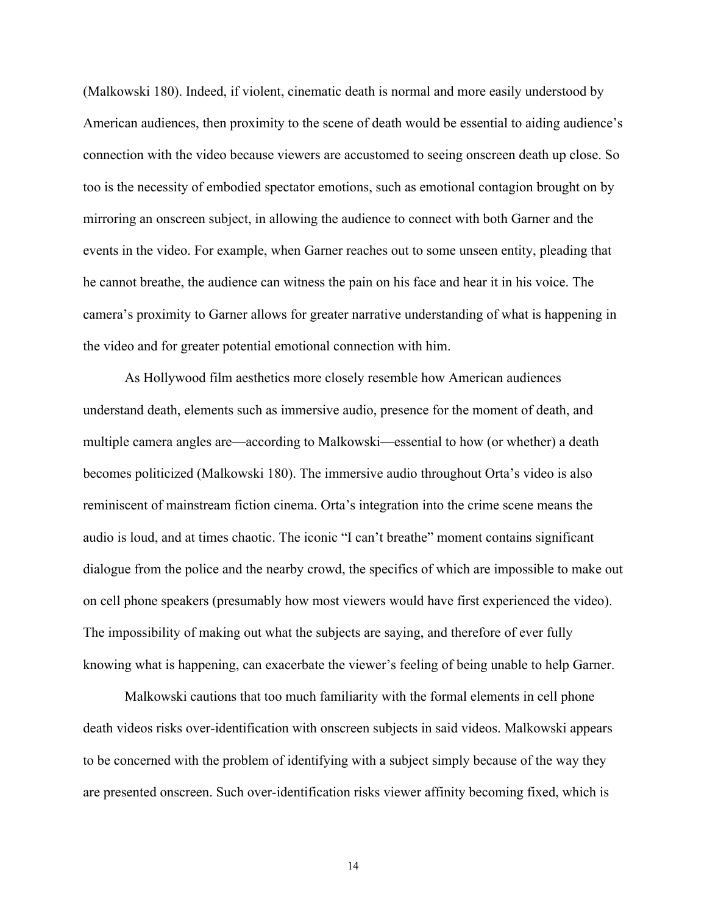(Malkowski 180). Indeed, if violent, cinematic death is normal and more easily understood by American audiences, then proximity to the scene of death would be essential to aiding audience's connection with the video because viewers are accustomed to seeing onscreen death up close. So too is the necessity of embodied spectator emotions, such as emotional contagion brought on by mirroring an onscreen subject, in allowing the audience to connect with both Garner and the events in the video. For example, when Garner reaches out to some unseen entity, pleading that he cannot breathe, the audience can witness the pain on his face and hear it in his voice. The camera's proximity to Garner allows for greater narrative understanding of what is happening in the video and for greater potential emotional connection with him.

As Hollywood film aesthetics more closely resemble how American audiences understand death, elements such as immersive audio, presence for the moment of death, and multiple camera angles are—according to Malkowski—essential to how (or whether) a death becomes politicized (Malkowski 180). The immersive audio throughout Orta's video is also reminiscent of mainstream fiction cinema. Orta's integration into the crime scene means the audio is loud, and at times chaotic. The iconic "I can't breathe" moment contains significant dialogue from the police and the nearby crowd, the specifics of which are impossible to make out on cell phone speakers (presumably how most viewers would have first experienced the video). The impossibility of making out what the subjects are saying, and therefore of ever fully knowing what is happening, can exacerbate the viewer's feeling of being unable to help Garner.

Malkowski cautions that too much familiarity with the formal elements in cell phone death videos risks over-identification with onscreen subjects in said videos. Malkowski appears to be concerned with the problem of identifying with a subject simply because of the way they are presented onscreen. Such over-identification risks viewer affinity becoming fixed, which is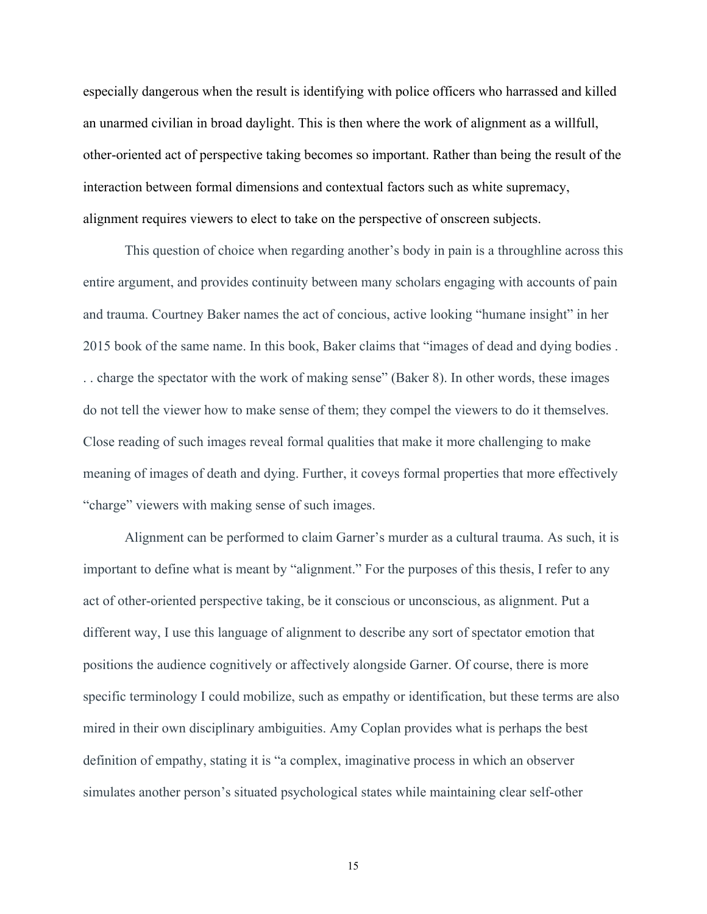especially dangerous when the result is identifying with police officers who harrassed and killed an unarmed civilian in broad daylight. This is then where the work of alignment as a willfull, other-oriented act of perspective taking becomes so important. Rather than being the result of the interaction between formal dimensions and contextual factors such as white supremacy, alignment requires viewers to elect to take on the perspective of onscreen subjects.

This question of choice when regarding another's body in pain is a throughline across this entire argument, and provides continuity between many scholars engaging with accounts of pain and trauma. Courtney Baker names the act of concious, active looking "humane insight" in her 2015 book of the same name. In this book, Baker claims that "images of dead and dying bodies . . . charge the spectator with the work of making sense" (Baker 8). In other words, these images do not tell the viewer how to make sense of them; they compel the viewers to do it themselves. Close reading of such images reveal formal qualities that make it more challenging to make meaning of images of death and dying. Further, it coveys formal properties that more effectively "charge" viewers with making sense of such images.

Alignment can be performed to claim Garner's murder as a cultural trauma. As such, it is important to define what is meant by "alignment." For the purposes of this thesis, I refer to any act of other-oriented perspective taking, be it conscious or unconscious, as alignment. Put a different way, I use this language of alignment to describe any sort of spectator emotion that positions the audience cognitively or affectively alongside Garner. Of course, there is more specific terminology I could mobilize, such as empathy or identification, but these terms are also mired in their own disciplinary ambiguities. Amy Coplan provides what is perhaps the best definition of empathy, stating it is "a complex, imaginative process in which an observer simulates another person's situated psychological states while maintaining clear self-other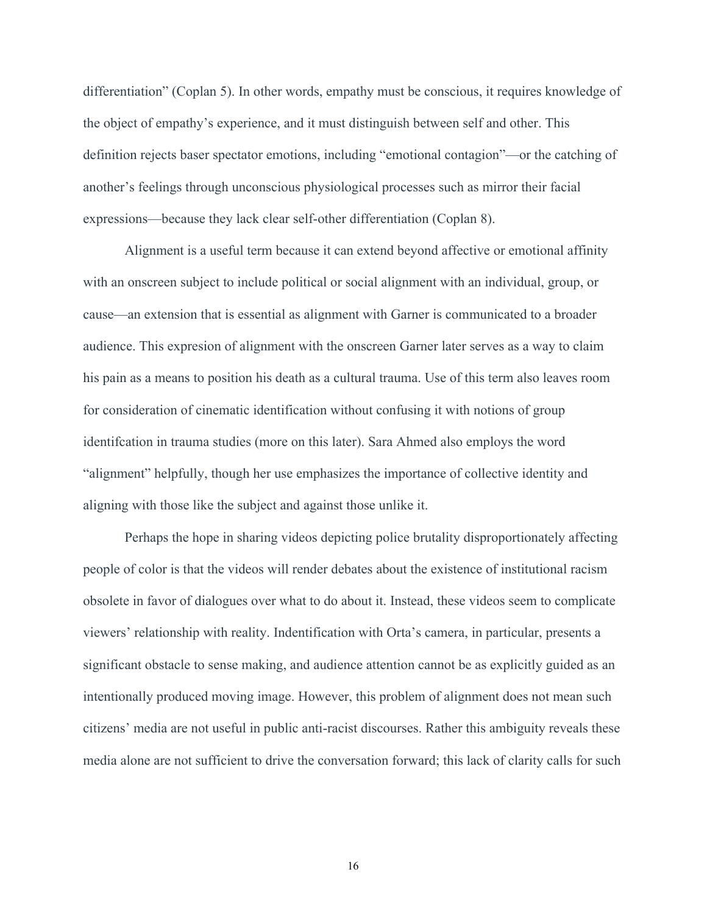differentiation" (Coplan 5). In other words, empathy must be conscious, it requires knowledge of the object of empathy's experience, and it must distinguish between self and other. This definition rejects baser spectator emotions, including "emotional contagion"—or the catching of another's feelings through unconscious physiological processes such as mirror their facial expressions—because they lack clear self-other differentiation (Coplan 8).

Alignment is a useful term because it can extend beyond affective or emotional affinity with an onscreen subject to include political or social alignment with an individual, group, or cause—an extension that is essential as alignment with Garner is communicated to a broader audience. This expresion of alignment with the onscreen Garner later serves as a way to claim his pain as a means to position his death as a cultural trauma. Use of this term also leaves room for consideration of cinematic identification without confusing it with notions of group identifcation in trauma studies (more on this later). Sara Ahmed also employs the word "alignment" helpfully, though her use emphasizes the importance of collective identity and aligning with those like the subject and against those unlike it.

Perhaps the hope in sharing videos depicting police brutality disproportionately affecting people of color is that the videos will render debates about the existence of institutional racism obsolete in favor of dialogues over what to do about it. Instead, these videos seem to complicate viewers' relationship with reality. Indentification with Orta's camera, in particular, presents a significant obstacle to sense making, and audience attention cannot be as explicitly guided as an intentionally produced moving image. However, this problem of alignment does not mean such citizens' media are not useful in public anti-racist discourses. Rather this ambiguity reveals these media alone are not sufficient to drive the conversation forward; this lack of clarity calls for such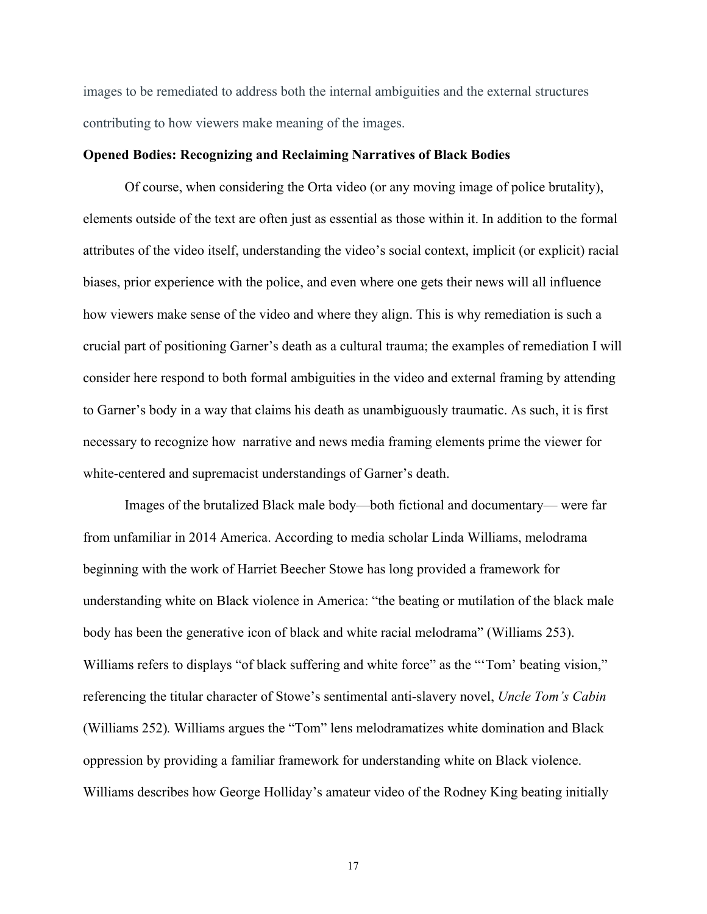images to be remediated to address both the internal ambiguities and the external structures contributing to how viewers make meaning of the images.

#### **Opened Bodies: Recognizing and Reclaiming Narratives of Black Bodies**

Of course, when considering the Orta video (or any moving image of police brutality), elements outside of the text are often just as essential as those within it. In addition to the formal attributes of the video itself, understanding the video's social context, implicit (or explicit) racial biases, prior experience with the police, and even where one gets their news will all influence how viewers make sense of the video and where they align. This is why remediation is such a crucial part of positioning Garner's death as a cultural trauma; the examples of remediation I will consider here respond to both formal ambiguities in the video and external framing by attending to Garner's body in a way that claims his death as unambiguously traumatic. As such, it is first necessary to recognize how narrative and news media framing elements prime the viewer for white-centered and supremacist understandings of Garner's death.

Images of the brutalized Black male body—both fictional and documentary— were far from unfamiliar in 2014 America. According to media scholar Linda Williams, melodrama beginning with the work of Harriet Beecher Stowe has long provided a framework for understanding white on Black violence in America: "the beating or mutilation of the black male body has been the generative icon of black and white racial melodrama" (Williams 253). Williams refers to displays "of black suffering and white force" as the "'Tom' beating vision," referencing the titular character of Stowe's sentimental anti-slavery novel, *Uncle Tom's Cabin*  (Williams 252)*.* Williams argues the "Tom" lens melodramatizes white domination and Black oppression by providing a familiar framework for understanding white on Black violence. Williams describes how George Holliday's amateur video of the Rodney King beating initially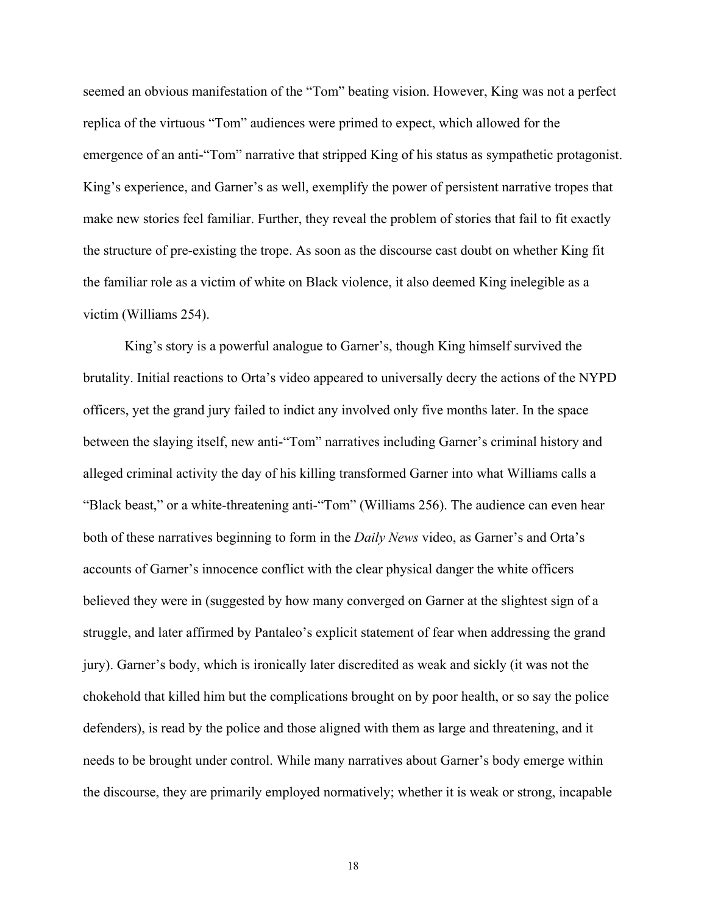seemed an obvious manifestation of the "Tom" beating vision. However, King was not a perfect replica of the virtuous "Tom" audiences were primed to expect, which allowed for the emergence of an anti-"Tom" narrative that stripped King of his status as sympathetic protagonist. King's experience, and Garner's as well, exemplify the power of persistent narrative tropes that make new stories feel familiar. Further, they reveal the problem of stories that fail to fit exactly the structure of pre-existing the trope. As soon as the discourse cast doubt on whether King fit the familiar role as a victim of white on Black violence, it also deemed King inelegible as a victim (Williams 254).

King's story is a powerful analogue to Garner's, though King himself survived the brutality. Initial reactions to Orta's video appeared to universally decry the actions of the NYPD officers, yet the grand jury failed to indict any involved only five months later. In the space between the slaying itself, new anti-"Tom" narratives including Garner's criminal history and alleged criminal activity the day of his killing transformed Garner into what Williams calls a "Black beast," or a white-threatening anti-"Tom" (Williams 256). The audience can even hear both of these narratives beginning to form in the *Daily News* video, as Garner's and Orta's accounts of Garner's innocence conflict with the clear physical danger the white officers believed they were in (suggested by how many converged on Garner at the slightest sign of a struggle, and later affirmed by Pantaleo's explicit statement of fear when addressing the grand jury). Garner's body, which is ironically later discredited as weak and sickly (it was not the chokehold that killed him but the complications brought on by poor health, or so say the police defenders), is read by the police and those aligned with them as large and threatening, and it needs to be brought under control. While many narratives about Garner's body emerge within the discourse, they are primarily employed normatively; whether it is weak or strong, incapable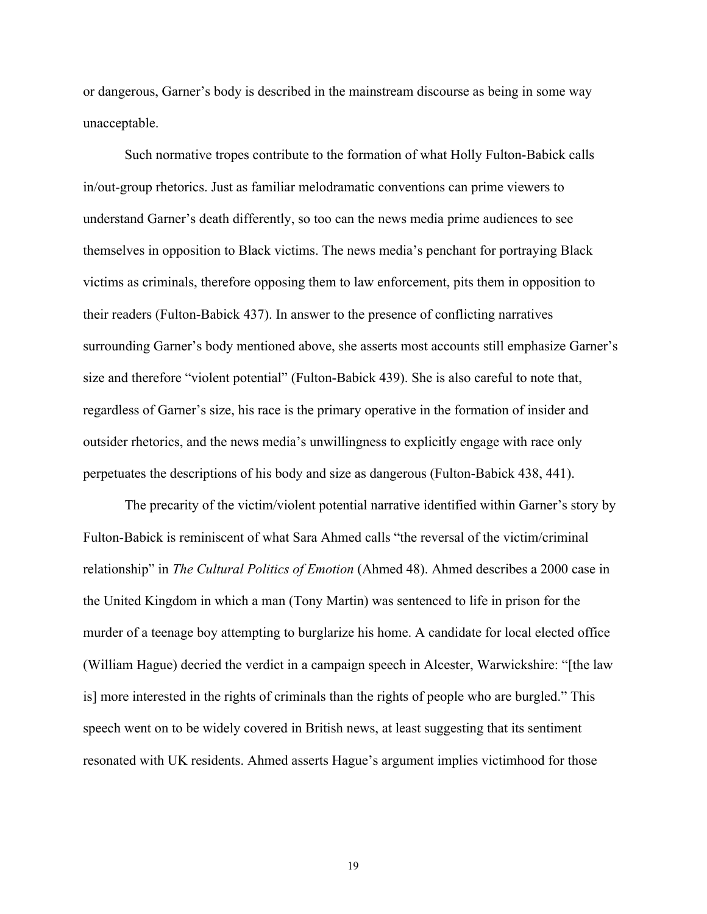or dangerous, Garner's body is described in the mainstream discourse as being in some way unacceptable.

Such normative tropes contribute to the formation of what Holly Fulton-Babick calls in/out-group rhetorics. Just as familiar melodramatic conventions can prime viewers to understand Garner's death differently, so too can the news media prime audiences to see themselves in opposition to Black victims. The news media's penchant for portraying Black victims as criminals, therefore opposing them to law enforcement, pits them in opposition to their readers (Fulton-Babick 437). In answer to the presence of conflicting narratives surrounding Garner's body mentioned above, she asserts most accounts still emphasize Garner's size and therefore "violent potential" (Fulton-Babick 439). She is also careful to note that, regardless of Garner's size, his race is the primary operative in the formation of insider and outsider rhetorics, and the news media's unwillingness to explicitly engage with race only perpetuates the descriptions of his body and size as dangerous (Fulton-Babick 438, 441).

The precarity of the victim/violent potential narrative identified within Garner's story by Fulton-Babick is reminiscent of what Sara Ahmed calls "the reversal of the victim/criminal relationship" in *The Cultural Politics of Emotion* (Ahmed 48). Ahmed describes a 2000 case in the United Kingdom in which a man (Tony Martin) was sentenced to life in prison for the murder of a teenage boy attempting to burglarize his home. A candidate for local elected office (William Hague) decried the verdict in a campaign speech in Alcester, Warwickshire: "[the law is] more interested in the rights of criminals than the rights of people who are burgled." This speech went on to be widely covered in British news, at least suggesting that its sentiment resonated with UK residents. Ahmed asserts Hague's argument implies victimhood for those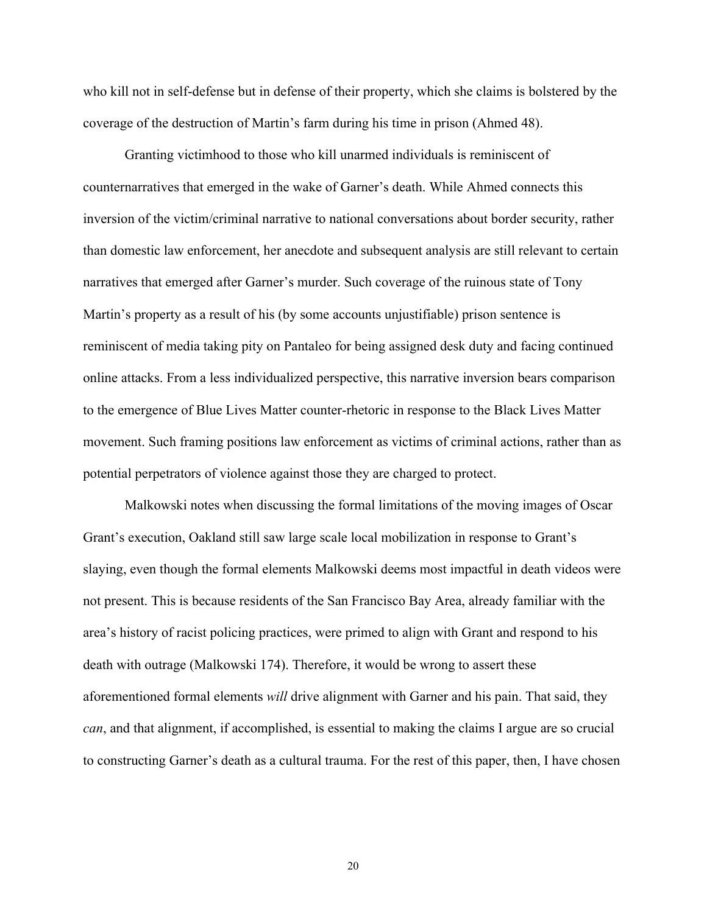who kill not in self-defense but in defense of their property, which she claims is bolstered by the coverage of the destruction of Martin's farm during his time in prison (Ahmed 48).

Granting victimhood to those who kill unarmed individuals is reminiscent of counternarratives that emerged in the wake of Garner's death. While Ahmed connects this inversion of the victim/criminal narrative to national conversations about border security, rather than domestic law enforcement, her anecdote and subsequent analysis are still relevant to certain narratives that emerged after Garner's murder. Such coverage of the ruinous state of Tony Martin's property as a result of his (by some accounts unjustifiable) prison sentence is reminiscent of media taking pity on Pantaleo for being assigned desk duty and facing continued online attacks. From a less individualized perspective, this narrative inversion bears comparison to the emergence of Blue Lives Matter counter-rhetoric in response to the Black Lives Matter movement. Such framing positions law enforcement as victims of criminal actions, rather than as potential perpetrators of violence against those they are charged to protect.

Malkowski notes when discussing the formal limitations of the moving images of Oscar Grant's execution, Oakland still saw large scale local mobilization in response to Grant's slaying, even though the formal elements Malkowski deems most impactful in death videos were not present. This is because residents of the San Francisco Bay Area, already familiar with the area's history of racist policing practices, were primed to align with Grant and respond to his death with outrage (Malkowski 174). Therefore, it would be wrong to assert these aforementioned formal elements *will* drive alignment with Garner and his pain. That said, they *can*, and that alignment, if accomplished, is essential to making the claims I argue are so crucial to constructing Garner's death as a cultural trauma. For the rest of this paper, then, I have chosen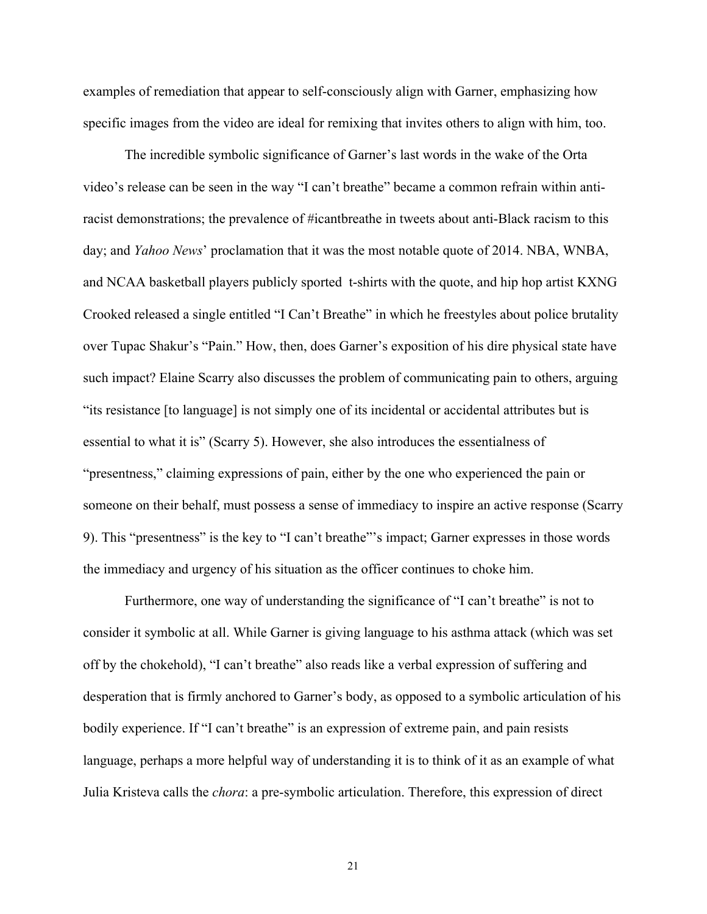examples of remediation that appear to self-consciously align with Garner, emphasizing how specific images from the video are ideal for remixing that invites others to align with him, too.

The incredible symbolic significance of Garner's last words in the wake of the Orta video's release can be seen in the way "I can't breathe" became a common refrain within antiracist demonstrations; the prevalence of #icantbreathe in tweets about anti-Black racism to this day; and *Yahoo News*' proclamation that it was the most notable quote of 2014. NBA, WNBA, and NCAA basketball players publicly sported t-shirts with the quote, and hip hop artist KXNG Crooked released a single entitled "I Can't Breathe" in which he freestyles about police brutality over Tupac Shakur's "Pain." How, then, does Garner's exposition of his dire physical state have such impact? Elaine Scarry also discusses the problem of communicating pain to others, arguing "its resistance [to language] is not simply one of its incidental or accidental attributes but is essential to what it is" (Scarry 5). However, she also introduces the essentialness of "presentness," claiming expressions of pain, either by the one who experienced the pain or someone on their behalf, must possess a sense of immediacy to inspire an active response (Scarry 9). This "presentness" is the key to "I can't breathe"'s impact; Garner expresses in those words the immediacy and urgency of his situation as the officer continues to choke him.

Furthermore, one way of understanding the significance of "I can't breathe" is not to consider it symbolic at all. While Garner is giving language to his asthma attack (which was set off by the chokehold), "I can't breathe" also reads like a verbal expression of suffering and desperation that is firmly anchored to Garner's body, as opposed to a symbolic articulation of his bodily experience. If "I can't breathe" is an expression of extreme pain, and pain resists language, perhaps a more helpful way of understanding it is to think of it as an example of what Julia Kristeva calls the *chora*: a pre-symbolic articulation. Therefore, this expression of direct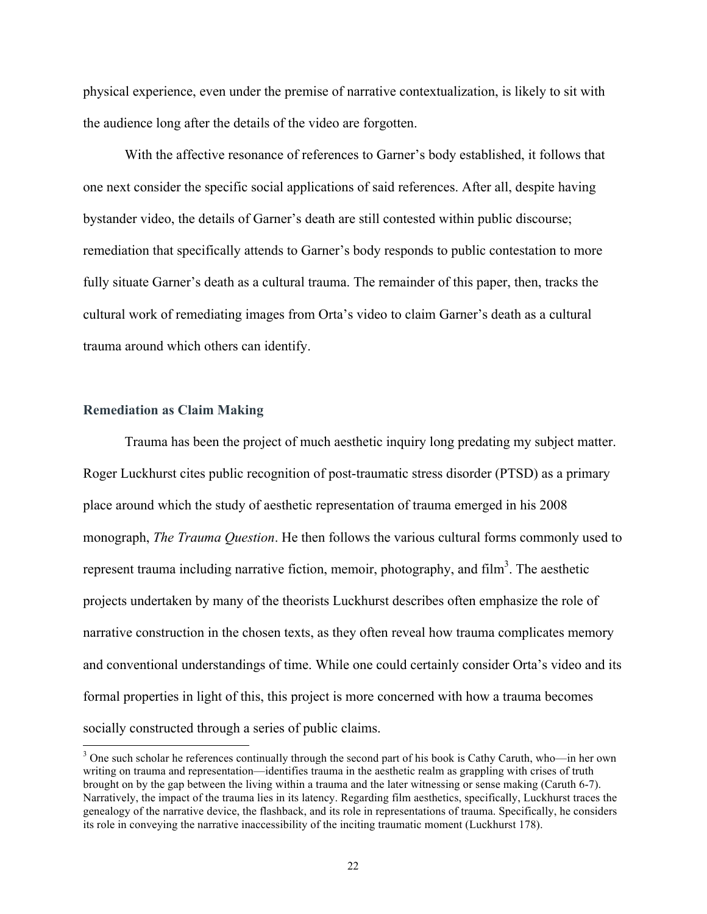physical experience, even under the premise of narrative contextualization, is likely to sit with the audience long after the details of the video are forgotten.

With the affective resonance of references to Garner's body established, it follows that one next consider the specific social applications of said references. After all, despite having bystander video, the details of Garner's death are still contested within public discourse; remediation that specifically attends to Garner's body responds to public contestation to more fully situate Garner's death as a cultural trauma. The remainder of this paper, then, tracks the cultural work of remediating images from Orta's video to claim Garner's death as a cultural trauma around which others can identify.

#### **Remediation as Claim Making**

Trauma has been the project of much aesthetic inquiry long predating my subject matter. Roger Luckhurst cites public recognition of post-traumatic stress disorder (PTSD) as a primary place around which the study of aesthetic representation of trauma emerged in his 2008 monograph, *The Trauma Question*. He then follows the various cultural forms commonly used to represent trauma including narrative fiction, memoir, photography, and film<sup>3</sup>. The aesthetic projects undertaken by many of the theorists Luckhurst describes often emphasize the role of narrative construction in the chosen texts, as they often reveal how trauma complicates memory and conventional understandings of time. While one could certainly consider Orta's video and its formal properties in light of this, this project is more concerned with how a trauma becomes socially constructed through a series of public claims.

<sup>&</sup>lt;sup>3</sup> One such scholar he references continually through the second part of his book is Cathy Caruth, who—in her own writing on trauma and representation—identifies trauma in the aesthetic realm as grappling with crises of truth brought on by the gap between the living within a trauma and the later witnessing or sense making (Caruth 6-7). Narratively, the impact of the trauma lies in its latency. Regarding film aesthetics, specifically, Luckhurst traces the genealogy of the narrative device, the flashback, and its role in representations of trauma. Specifically, he considers its role in conveying the narrative inaccessibility of the inciting traumatic moment (Luckhurst 178).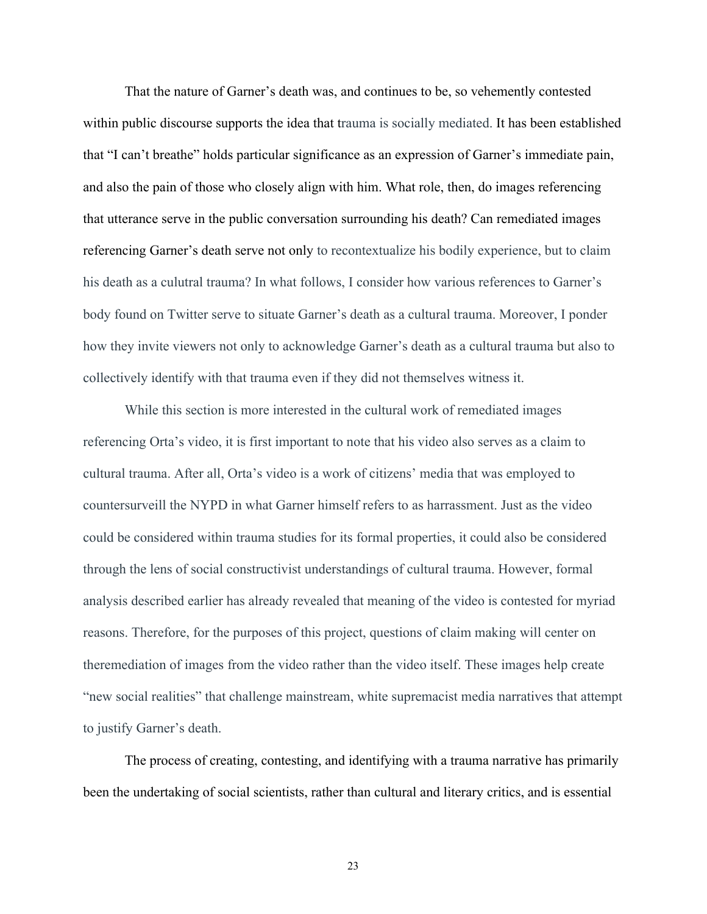That the nature of Garner's death was, and continues to be, so vehemently contested within public discourse supports the idea that trauma is socially mediated. It has been established that "I can't breathe" holds particular significance as an expression of Garner's immediate pain, and also the pain of those who closely align with him. What role, then, do images referencing that utterance serve in the public conversation surrounding his death? Can remediated images referencing Garner's death serve not only to recontextualize his bodily experience, but to claim his death as a culutral trauma? In what follows, I consider how various references to Garner's body found on Twitter serve to situate Garner's death as a cultural trauma. Moreover, I ponder how they invite viewers not only to acknowledge Garner's death as a cultural trauma but also to collectively identify with that trauma even if they did not themselves witness it.

While this section is more interested in the cultural work of remediated images referencing Orta's video, it is first important to note that his video also serves as a claim to cultural trauma. After all, Orta's video is a work of citizens' media that was employed to countersurveill the NYPD in what Garner himself refers to as harrassment. Just as the video could be considered within trauma studies for its formal properties, it could also be considered through the lens of social constructivist understandings of cultural trauma. However, formal analysis described earlier has already revealed that meaning of the video is contested for myriad reasons. Therefore, for the purposes of this project, questions of claim making will center on theremediation of images from the video rather than the video itself. These images help create "new social realities" that challenge mainstream, white supremacist media narratives that attempt to justify Garner's death.

The process of creating, contesting, and identifying with a trauma narrative has primarily been the undertaking of social scientists, rather than cultural and literary critics, and is essential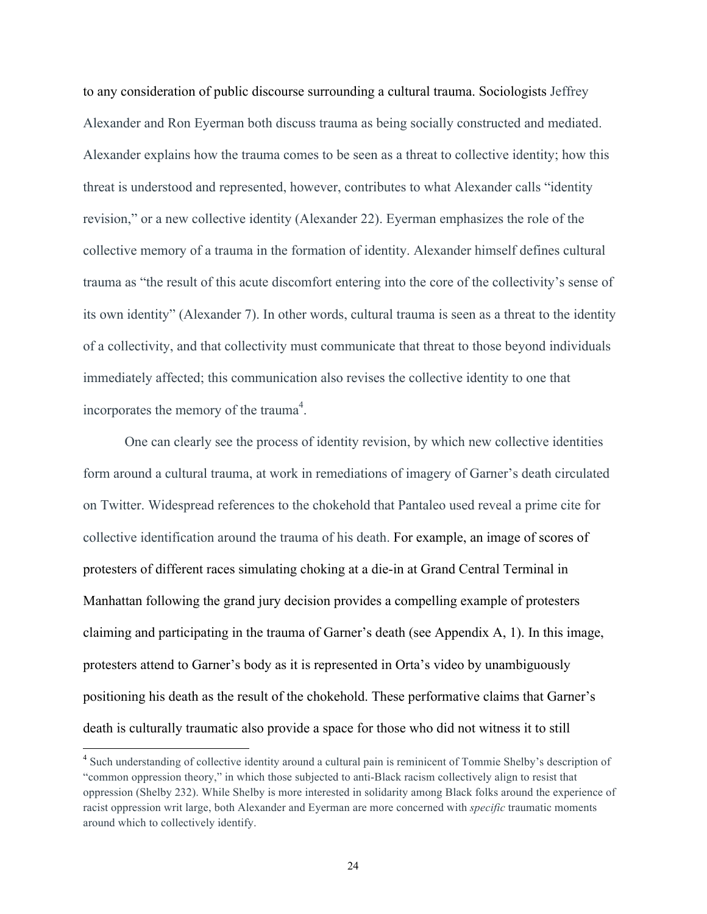to any consideration of public discourse surrounding a cultural trauma. Sociologists Jeffrey Alexander and Ron Eyerman both discuss trauma as being socially constructed and mediated. Alexander explains how the trauma comes to be seen as a threat to collective identity; how this threat is understood and represented, however, contributes to what Alexander calls "identity revision," or a new collective identity (Alexander 22). Eyerman emphasizes the role of the collective memory of a trauma in the formation of identity. Alexander himself defines cultural trauma as "the result of this acute discomfort entering into the core of the collectivity's sense of its own identity" (Alexander 7). In other words, cultural trauma is seen as a threat to the identity of a collectivity, and that collectivity must communicate that threat to those beyond individuals immediately affected; this communication also revises the collective identity to one that incorporates the memory of the trauma<sup>4</sup>.

One can clearly see the process of identity revision, by which new collective identities form around a cultural trauma, at work in remediations of imagery of Garner's death circulated on Twitter. Widespread references to the chokehold that Pantaleo used reveal a prime cite for collective identification around the trauma of his death. For example, an image of scores of protesters of different races simulating choking at a die-in at Grand Central Terminal in Manhattan following the grand jury decision provides a compelling example of protesters claiming and participating in the trauma of Garner's death (see Appendix A, 1). In this image, protesters attend to Garner's body as it is represented in Orta's video by unambiguously positioning his death as the result of the chokehold. These performative claims that Garner's death is culturally traumatic also provide a space for those who did not witness it to still

<sup>&</sup>lt;sup>4</sup> Such understanding of collective identity around a cultural pain is reminicent of Tommie Shelby's description of "common oppression theory," in which those subjected to anti-Black racism collectively align to resist that oppression (Shelby 232). While Shelby is more interested in solidarity among Black folks around the experience of racist oppression writ large, both Alexander and Eyerman are more concerned with *specific* traumatic moments around which to collectively identify.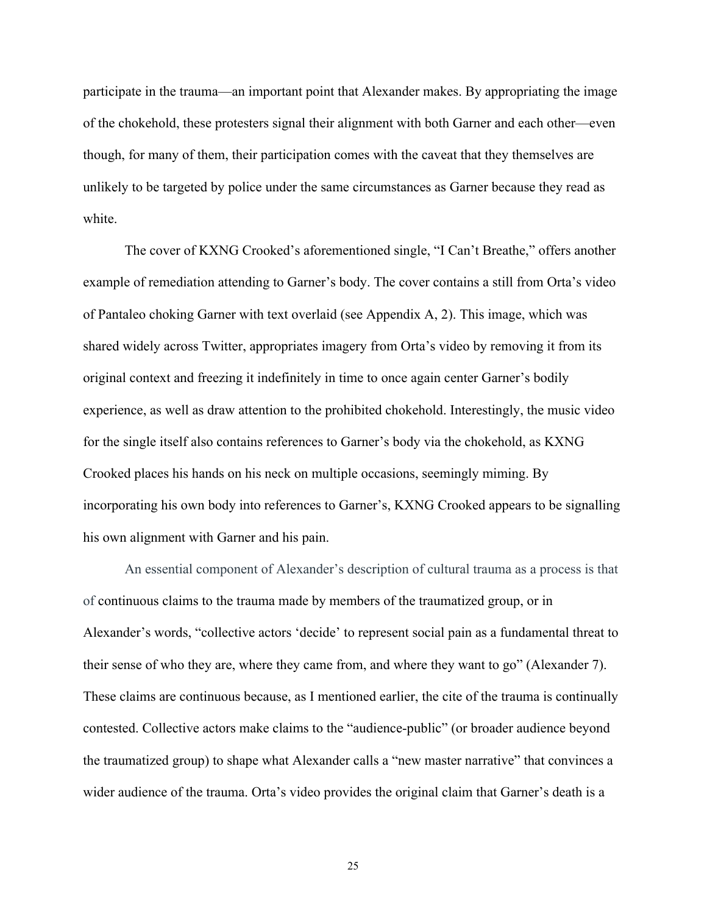participate in the trauma—an important point that Alexander makes. By appropriating the image of the chokehold, these protesters signal their alignment with both Garner and each other—even though, for many of them, their participation comes with the caveat that they themselves are unlikely to be targeted by police under the same circumstances as Garner because they read as white

The cover of KXNG Crooked's aforementioned single, "I Can't Breathe," offers another example of remediation attending to Garner's body. The cover contains a still from Orta's video of Pantaleo choking Garner with text overlaid (see Appendix A, 2). This image, which was shared widely across Twitter, appropriates imagery from Orta's video by removing it from its original context and freezing it indefinitely in time to once again center Garner's bodily experience, as well as draw attention to the prohibited chokehold. Interestingly, the music video for the single itself also contains references to Garner's body via the chokehold, as KXNG Crooked places his hands on his neck on multiple occasions, seemingly miming. By incorporating his own body into references to Garner's, KXNG Crooked appears to be signalling his own alignment with Garner and his pain.

An essential component of Alexander's description of cultural trauma as a process is that of continuous claims to the trauma made by members of the traumatized group, or in Alexander's words, "collective actors 'decide' to represent social pain as a fundamental threat to their sense of who they are, where they came from, and where they want to go" (Alexander 7). These claims are continuous because, as I mentioned earlier, the cite of the trauma is continually contested. Collective actors make claims to the "audience-public" (or broader audience beyond the traumatized group) to shape what Alexander calls a "new master narrative" that convinces a wider audience of the trauma. Orta's video provides the original claim that Garner's death is a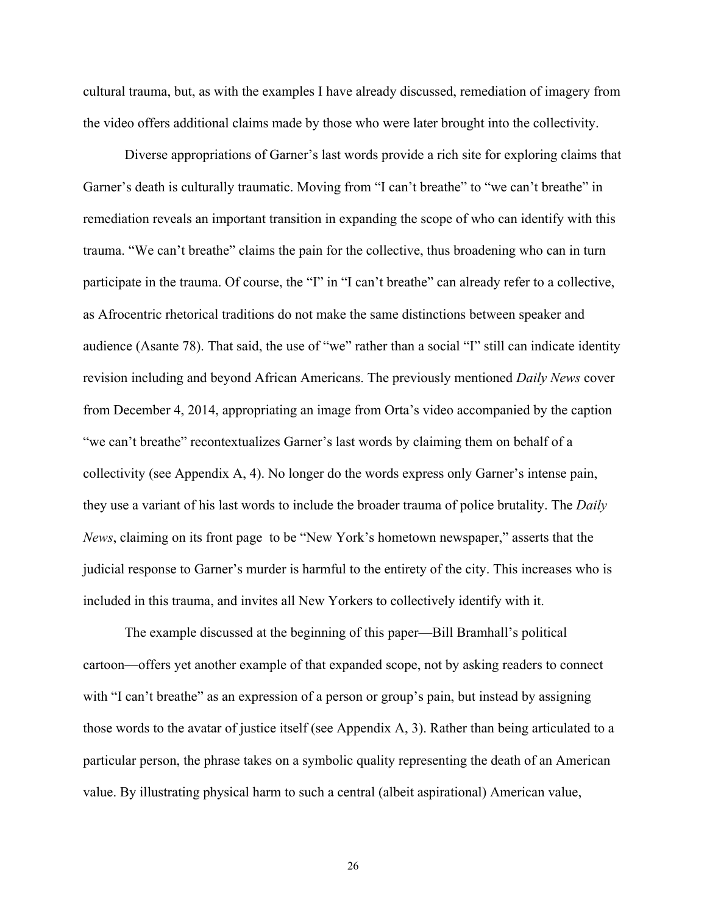cultural trauma, but, as with the examples I have already discussed, remediation of imagery from the video offers additional claims made by those who were later brought into the collectivity.

Diverse appropriations of Garner's last words provide a rich site for exploring claims that Garner's death is culturally traumatic. Moving from "I can't breathe" to "we can't breathe" in remediation reveals an important transition in expanding the scope of who can identify with this trauma. "We can't breathe" claims the pain for the collective, thus broadening who can in turn participate in the trauma. Of course, the "I" in "I can't breathe" can already refer to a collective, as Afrocentric rhetorical traditions do not make the same distinctions between speaker and audience (Asante 78). That said, the use of "we" rather than a social "I" still can indicate identity revision including and beyond African Americans. The previously mentioned *Daily News* cover from December 4, 2014, appropriating an image from Orta's video accompanied by the caption "we can't breathe" recontextualizes Garner's last words by claiming them on behalf of a collectivity (see Appendix A, 4). No longer do the words express only Garner's intense pain, they use a variant of his last words to include the broader trauma of police brutality. The *Daily News*, claiming on its front page to be "New York's hometown newspaper," asserts that the judicial response to Garner's murder is harmful to the entirety of the city. This increases who is included in this trauma, and invites all New Yorkers to collectively identify with it.

The example discussed at the beginning of this paper—Bill Bramhall's political cartoon—offers yet another example of that expanded scope, not by asking readers to connect with "I can't breathe" as an expression of a person or group's pain, but instead by assigning those words to the avatar of justice itself (see Appendix A, 3). Rather than being articulated to a particular person, the phrase takes on a symbolic quality representing the death of an American value. By illustrating physical harm to such a central (albeit aspirational) American value,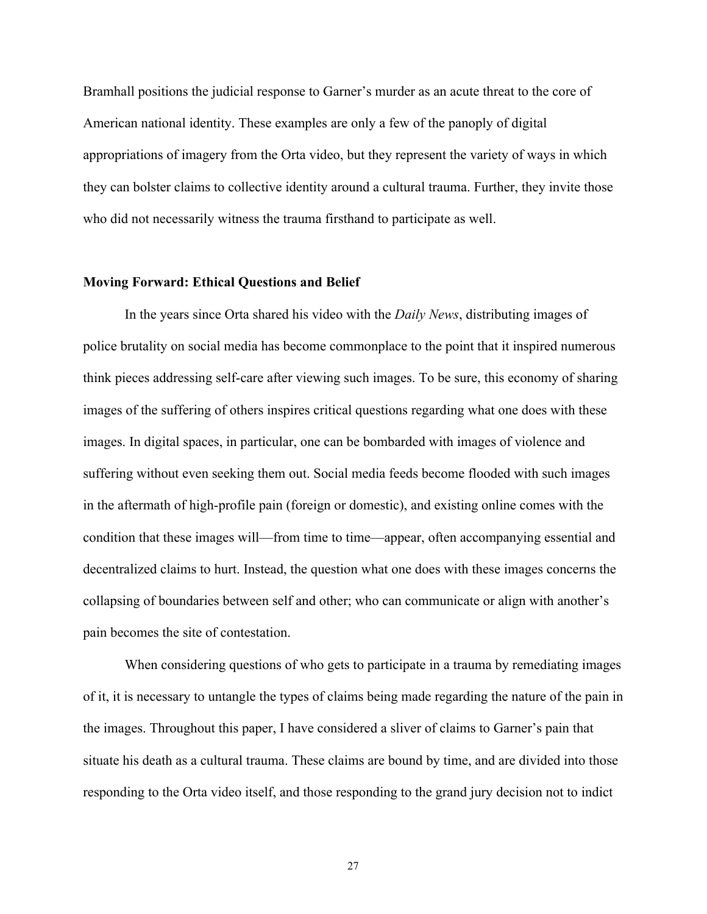Bramhall positions the judicial response to Garner's murder as an acute threat to the core of American national identity. These examples are only a few of the panoply of digital appropriations of imagery from the Orta video, but they represent the variety of ways in which they can bolster claims to collective identity around a cultural trauma. Further, they invite those who did not necessarily witness the trauma firsthand to participate as well.

#### **Moving Forward: Ethical Questions and Belief**

In the years since Orta shared his video with the *Daily News*, distributing images of police brutality on social media has become commonplace to the point that it inspired numerous think pieces addressing self-care after viewing such images. To be sure, this economy of sharing images of the suffering of others inspires critical questions regarding what one does with these images. In digital spaces, in particular, one can be bombarded with images of violence and suffering without even seeking them out. Social media feeds become flooded with such images in the aftermath of high-profile pain (foreign or domestic), and existing online comes with the condition that these images will—from time to time—appear, often accompanying essential and decentralized claims to hurt. Instead, the question what one does with these images concerns the collapsing of boundaries between self and other; who can communicate or align with another's pain becomes the site of contestation.

When considering questions of who gets to participate in a trauma by remediating images of it, it is necessary to untangle the types of claims being made regarding the nature of the pain in the images. Throughout this paper, I have considered a sliver of claims to Garner's pain that situate his death as a cultural trauma. These claims are bound by time, and are divided into those responding to the Orta video itself, and those responding to the grand jury decision not to indict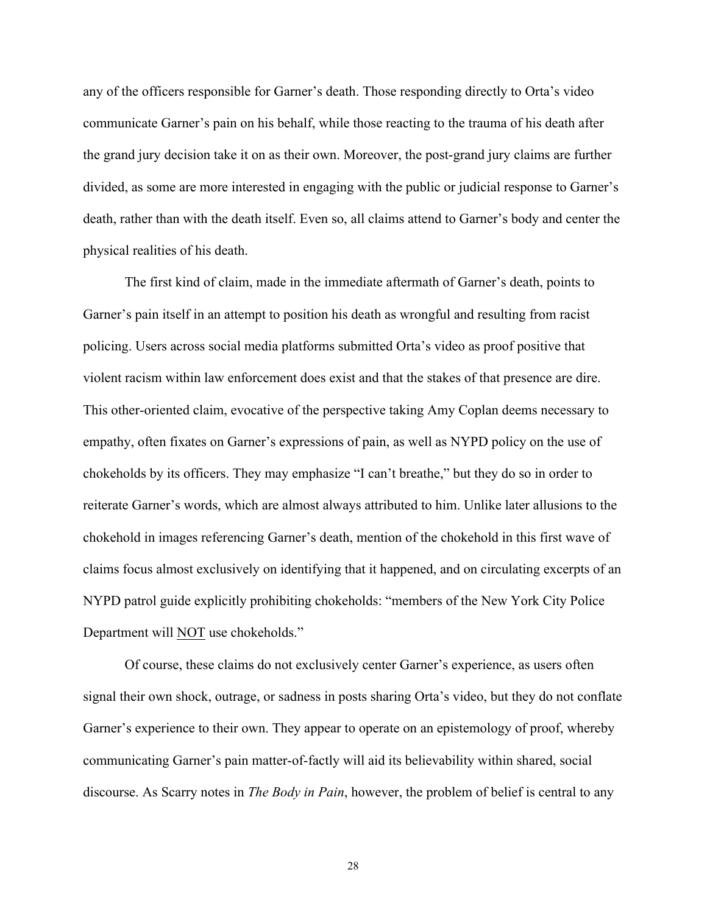any of the officers responsible for Garner's death. Those responding directly to Orta's video communicate Garner's pain on his behalf, while those reacting to the trauma of his death after the grand jury decision take it on as their own. Moreover, the post-grand jury claims are further divided, as some are more interested in engaging with the public or judicial response to Garner's death, rather than with the death itself. Even so, all claims attend to Garner's body and center the physical realities of his death.

The first kind of claim, made in the immediate aftermath of Garner's death, points to Garner's pain itself in an attempt to position his death as wrongful and resulting from racist policing. Users across social media platforms submitted Orta's video as proof positive that violent racism within law enforcement does exist and that the stakes of that presence are dire. This other-oriented claim, evocative of the perspective taking Amy Coplan deems necessary to empathy, often fixates on Garner's expressions of pain, as well as NYPD policy on the use of chokeholds by its officers. They may emphasize "I can't breathe," but they do so in order to reiterate Garner's words, which are almost always attributed to him. Unlike later allusions to the chokehold in images referencing Garner's death, mention of the chokehold in this first wave of claims focus almost exclusively on identifying that it happened, and on circulating excerpts of an NYPD patrol guide explicitly prohibiting chokeholds: "members of the New York City Police Department will NOT use chokeholds."

Of course, these claims do not exclusively center Garner's experience, as users often signal their own shock, outrage, or sadness in posts sharing Orta's video, but they do not conflate Garner's experience to their own. They appear to operate on an epistemology of proof, whereby communicating Garner's pain matter-of-factly will aid its believability within shared, social discourse. As Scarry notes in *The Body in Pain*, however, the problem of belief is central to any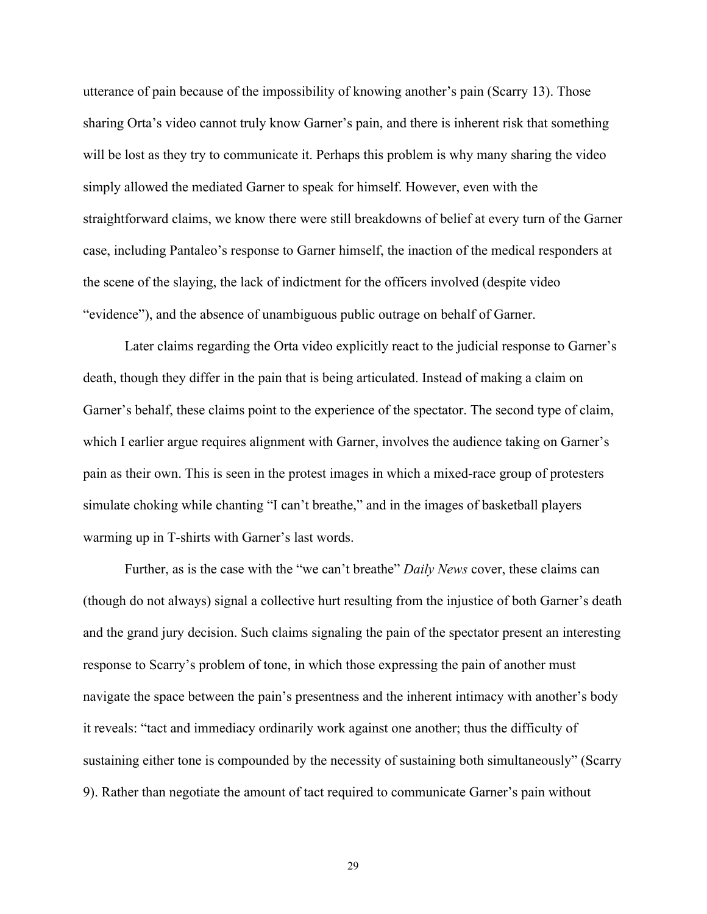utterance of pain because of the impossibility of knowing another's pain (Scarry 13). Those sharing Orta's video cannot truly know Garner's pain, and there is inherent risk that something will be lost as they try to communicate it. Perhaps this problem is why many sharing the video simply allowed the mediated Garner to speak for himself. However, even with the straightforward claims, we know there were still breakdowns of belief at every turn of the Garner case, including Pantaleo's response to Garner himself, the inaction of the medical responders at the scene of the slaying, the lack of indictment for the officers involved (despite video "evidence"), and the absence of unambiguous public outrage on behalf of Garner.

Later claims regarding the Orta video explicitly react to the judicial response to Garner's death, though they differ in the pain that is being articulated. Instead of making a claim on Garner's behalf, these claims point to the experience of the spectator. The second type of claim, which I earlier argue requires alignment with Garner, involves the audience taking on Garner's pain as their own. This is seen in the protest images in which a mixed-race group of protesters simulate choking while chanting "I can't breathe," and in the images of basketball players warming up in T-shirts with Garner's last words.

Further, as is the case with the "we can't breathe" *Daily News* cover, these claims can (though do not always) signal a collective hurt resulting from the injustice of both Garner's death and the grand jury decision. Such claims signaling the pain of the spectator present an interesting response to Scarry's problem of tone, in which those expressing the pain of another must navigate the space between the pain's presentness and the inherent intimacy with another's body it reveals: "tact and immediacy ordinarily work against one another; thus the difficulty of sustaining either tone is compounded by the necessity of sustaining both simultaneously" (Scarry 9). Rather than negotiate the amount of tact required to communicate Garner's pain without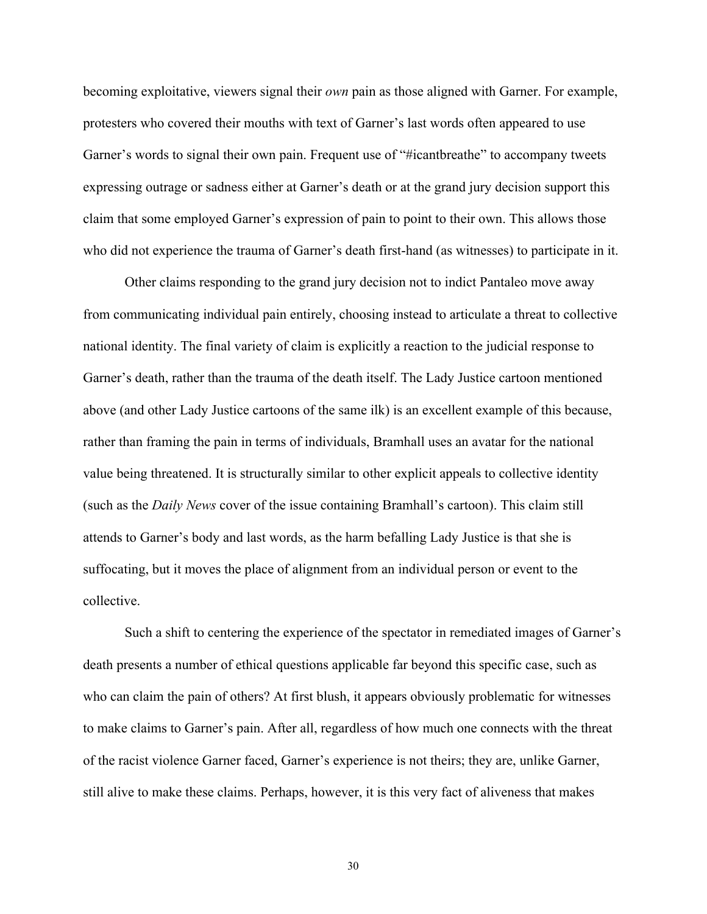becoming exploitative, viewers signal their *own* pain as those aligned with Garner. For example, protesters who covered their mouths with text of Garner's last words often appeared to use Garner's words to signal their own pain. Frequent use of "#icantbreathe" to accompany tweets expressing outrage or sadness either at Garner's death or at the grand jury decision support this claim that some employed Garner's expression of pain to point to their own. This allows those who did not experience the trauma of Garner's death first-hand (as witnesses) to participate in it.

Other claims responding to the grand jury decision not to indict Pantaleo move away from communicating individual pain entirely, choosing instead to articulate a threat to collective national identity. The final variety of claim is explicitly a reaction to the judicial response to Garner's death, rather than the trauma of the death itself. The Lady Justice cartoon mentioned above (and other Lady Justice cartoons of the same ilk) is an excellent example of this because, rather than framing the pain in terms of individuals, Bramhall uses an avatar for the national value being threatened. It is structurally similar to other explicit appeals to collective identity (such as the *Daily News* cover of the issue containing Bramhall's cartoon). This claim still attends to Garner's body and last words, as the harm befalling Lady Justice is that she is suffocating, but it moves the place of alignment from an individual person or event to the collective.

Such a shift to centering the experience of the spectator in remediated images of Garner's death presents a number of ethical questions applicable far beyond this specific case, such as who can claim the pain of others? At first blush, it appears obviously problematic for witnesses to make claims to Garner's pain. After all, regardless of how much one connects with the threat of the racist violence Garner faced, Garner's experience is not theirs; they are, unlike Garner, still alive to make these claims. Perhaps, however, it is this very fact of aliveness that makes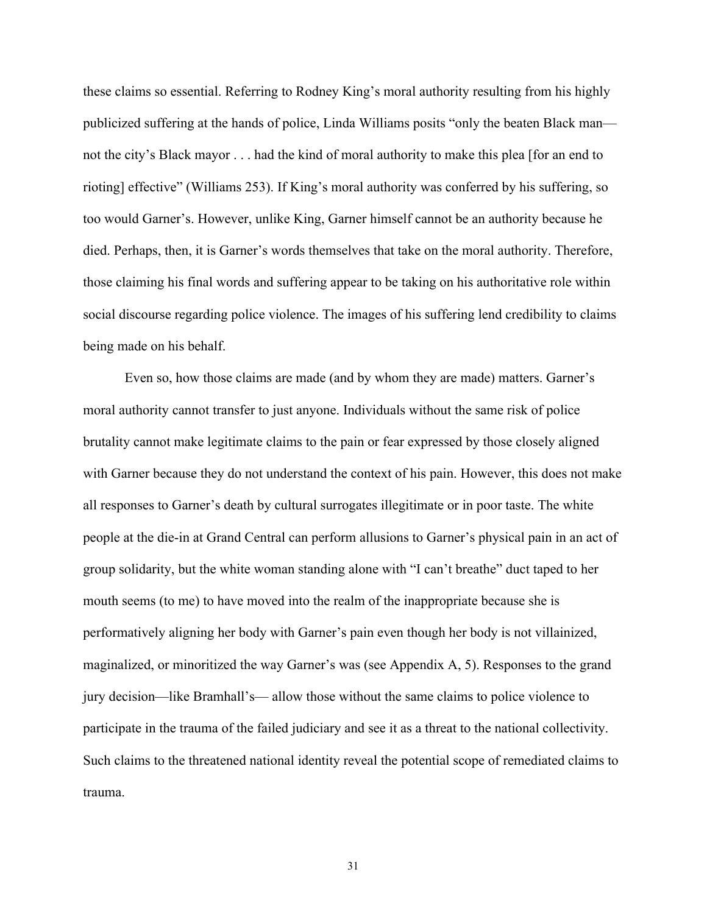these claims so essential. Referring to Rodney King's moral authority resulting from his highly publicized suffering at the hands of police, Linda Williams posits "only the beaten Black man not the city's Black mayor . . . had the kind of moral authority to make this plea [for an end to rioting] effective" (Williams 253). If King's moral authority was conferred by his suffering, so too would Garner's. However, unlike King, Garner himself cannot be an authority because he died. Perhaps, then, it is Garner's words themselves that take on the moral authority. Therefore, those claiming his final words and suffering appear to be taking on his authoritative role within social discourse regarding police violence. The images of his suffering lend credibility to claims being made on his behalf.

Even so, how those claims are made (and by whom they are made) matters. Garner's moral authority cannot transfer to just anyone. Individuals without the same risk of police brutality cannot make legitimate claims to the pain or fear expressed by those closely aligned with Garner because they do not understand the context of his pain. However, this does not make all responses to Garner's death by cultural surrogates illegitimate or in poor taste. The white people at the die-in at Grand Central can perform allusions to Garner's physical pain in an act of group solidarity, but the white woman standing alone with "I can't breathe" duct taped to her mouth seems (to me) to have moved into the realm of the inappropriate because she is performatively aligning her body with Garner's pain even though her body is not villainized, maginalized, or minoritized the way Garner's was (see Appendix A, 5). Responses to the grand jury decision—like Bramhall's— allow those without the same claims to police violence to participate in the trauma of the failed judiciary and see it as a threat to the national collectivity. Such claims to the threatened national identity reveal the potential scope of remediated claims to trauma.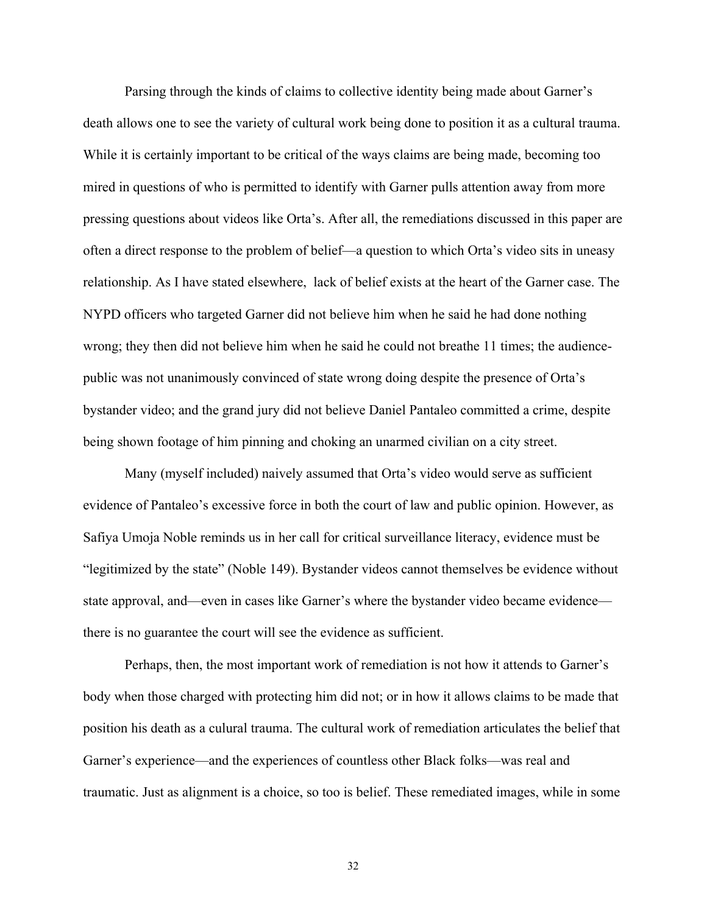Parsing through the kinds of claims to collective identity being made about Garner's death allows one to see the variety of cultural work being done to position it as a cultural trauma. While it is certainly important to be critical of the ways claims are being made, becoming too mired in questions of who is permitted to identify with Garner pulls attention away from more pressing questions about videos like Orta's. After all, the remediations discussed in this paper are often a direct response to the problem of belief—a question to which Orta's video sits in uneasy relationship. As I have stated elsewhere, lack of belief exists at the heart of the Garner case. The NYPD officers who targeted Garner did not believe him when he said he had done nothing wrong; they then did not believe him when he said he could not breathe 11 times; the audiencepublic was not unanimously convinced of state wrong doing despite the presence of Orta's bystander video; and the grand jury did not believe Daniel Pantaleo committed a crime, despite being shown footage of him pinning and choking an unarmed civilian on a city street.

Many (myself included) naively assumed that Orta's video would serve as sufficient evidence of Pantaleo's excessive force in both the court of law and public opinion. However, as Safiya Umoja Noble reminds us in her call for critical surveillance literacy, evidence must be "legitimized by the state" (Noble 149). Bystander videos cannot themselves be evidence without state approval, and—even in cases like Garner's where the bystander video became evidence there is no guarantee the court will see the evidence as sufficient.

Perhaps, then, the most important work of remediation is not how it attends to Garner's body when those charged with protecting him did not; or in how it allows claims to be made that position his death as a culural trauma. The cultural work of remediation articulates the belief that Garner's experience—and the experiences of countless other Black folks—was real and traumatic. Just as alignment is a choice, so too is belief. These remediated images, while in some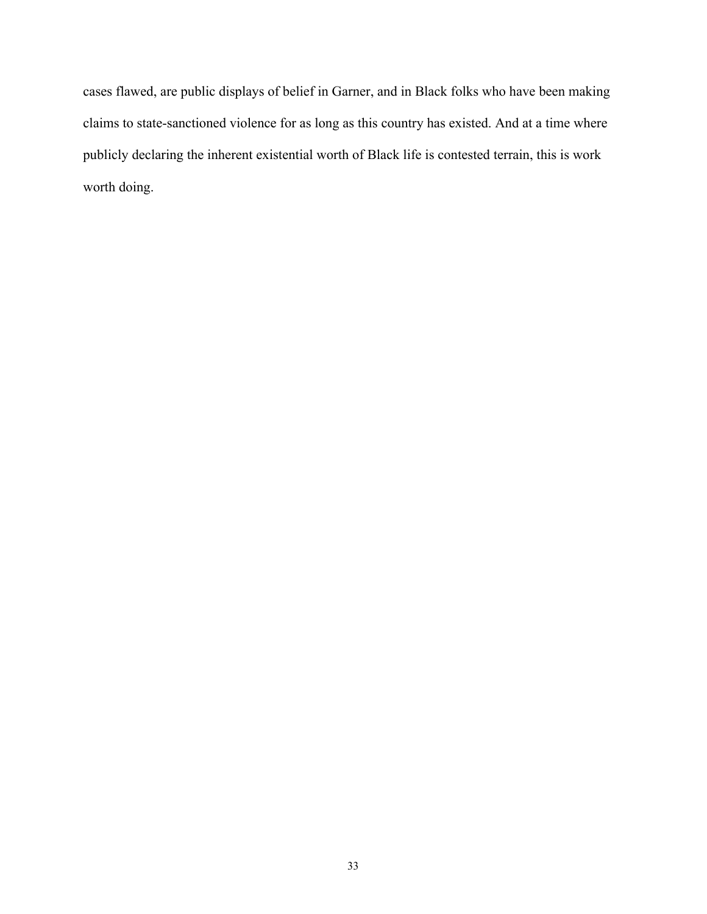cases flawed, are public displays of belief in Garner, and in Black folks who have been making claims to state-sanctioned violence for as long as this country has existed. And at a time where publicly declaring the inherent existential worth of Black life is contested terrain, this is work worth doing.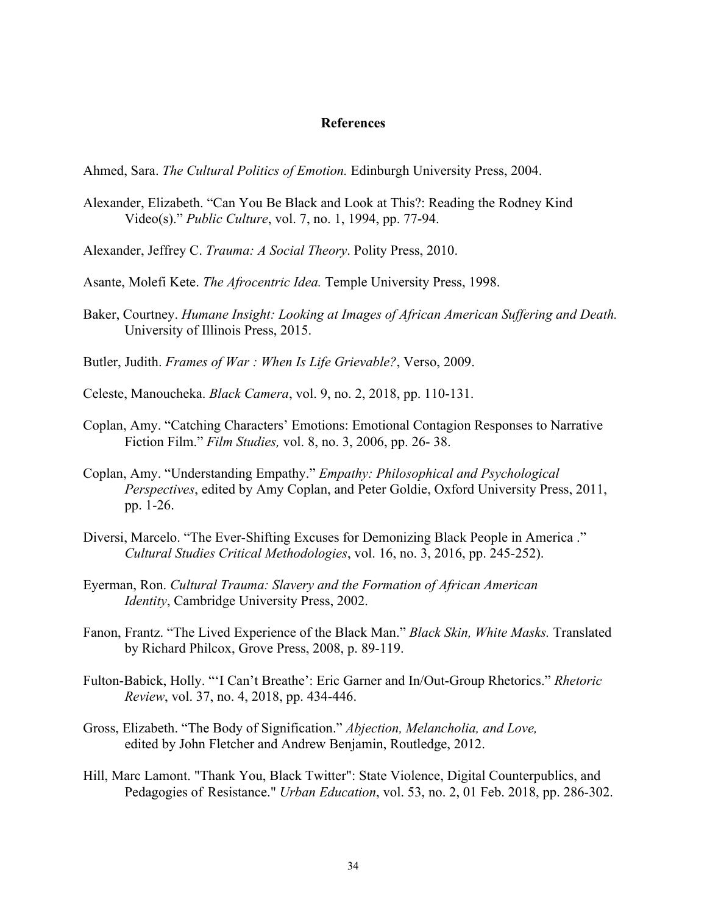#### **References**

Ahmed, Sara. *The Cultural Politics of Emotion.* Edinburgh University Press, 2004.

- Alexander, Elizabeth. "Can You Be Black and Look at This?: Reading the Rodney Kind Video(s)." *Public Culture*, vol. 7, no. 1, 1994, pp. 77-94.
- Alexander, Jeffrey C. *Trauma: A Social Theory*. Polity Press, 2010.
- Asante, Molefi Kete. *The Afrocentric Idea.* Temple University Press, 1998.
- Baker, Courtney. *Humane Insight: Looking at Images of African American Suffering and Death.* University of Illinois Press, 2015.
- Butler, Judith. *Frames of War : When Is Life Grievable?*, Verso, 2009.
- Celeste, Manoucheka. *Black Camera*, vol. 9, no. 2, 2018, pp. 110-131.
- Coplan, Amy. "Catching Characters' Emotions: Emotional Contagion Responses to Narrative Fiction Film." *Film Studies,* vol. 8, no. 3, 2006, pp. 26- 38.
- Coplan, Amy. "Understanding Empathy." *Empathy: Philosophical and Psychological Perspectives*, edited by Amy Coplan, and Peter Goldie, Oxford University Press, 2011, pp. 1-26.
- Diversi, Marcelo. "The Ever-Shifting Excuses for Demonizing Black People in America ." *Cultural Studies Critical Methodologies*, vol. 16, no. 3, 2016, pp. 245-252).
- Eyerman, Ron. *Cultural Trauma: Slavery and the Formation of African American Identity*, Cambridge University Press, 2002.
- Fanon, Frantz. "The Lived Experience of the Black Man." *Black Skin, White Masks.* Translated by Richard Philcox, Grove Press, 2008, p. 89-119.
- Fulton-Babick, Holly. "'I Can't Breathe': Eric Garner and In/Out-Group Rhetorics." *Rhetoric Review*, vol. 37, no. 4, 2018, pp. 434-446.
- Gross, Elizabeth. "The Body of Signification." *Abjection, Melancholia, and Love,* edited by John Fletcher and Andrew Benjamin, Routledge, 2012.
- Hill, Marc Lamont. "Thank You, Black Twitter": State Violence, Digital Counterpublics, and Pedagogies of Resistance." *Urban Education*, vol. 53, no. 2, 01 Feb. 2018, pp. 286-302.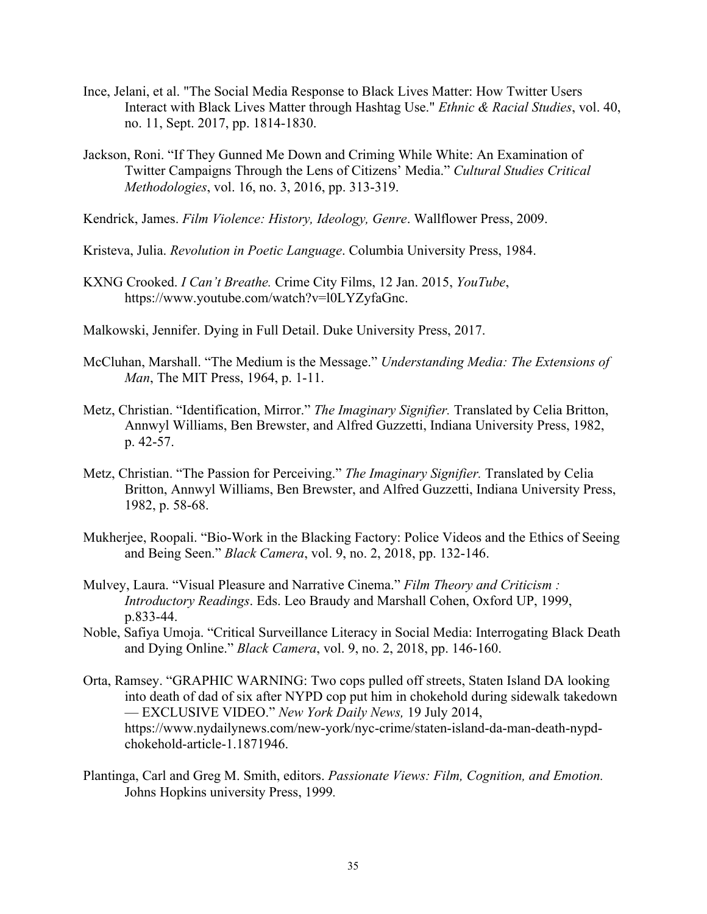- Ince, Jelani, et al. "The Social Media Response to Black Lives Matter: How Twitter Users Interact with Black Lives Matter through Hashtag Use." *Ethnic & Racial Studies*, vol. 40, no. 11, Sept. 2017, pp. 1814-1830.
- Jackson, Roni. "If They Gunned Me Down and Criming While White: An Examination of Twitter Campaigns Through the Lens of Citizens' Media." *Cultural Studies Critical Methodologies*, vol. 16, no. 3, 2016, pp. 313-319.
- Kendrick, James. *Film Violence: History, Ideology, Genre*. Wallflower Press, 2009.
- Kristeva, Julia. *Revolution in Poetic Language*. Columbia University Press, 1984.
- KXNG Crooked. *I Can't Breathe.* Crime City Films, 12 Jan. 2015, *YouTube*, https://www.youtube.com/watch?v=l0LYZyfaGnc.
- Malkowski, Jennifer. Dying in Full Detail. Duke University Press, 2017.
- McCluhan, Marshall. "The Medium is the Message." *Understanding Media: The Extensions of Man*, The MIT Press, 1964, p. 1-11.
- Metz, Christian. "Identification, Mirror." *The Imaginary Signifier.* Translated by Celia Britton, Annwyl Williams, Ben Brewster, and Alfred Guzzetti, Indiana University Press, 1982, p. 42-57.
- Metz, Christian. "The Passion for Perceiving." *The Imaginary Signifier.* Translated by Celia Britton, Annwyl Williams, Ben Brewster, and Alfred Guzzetti, Indiana University Press, 1982, p. 58-68.
- Mukherjee, Roopali. "Bio-Work in the Blacking Factory: Police Videos and the Ethics of Seeing and Being Seen." *Black Camera*, vol. 9, no. 2, 2018, pp. 132-146.
- Mulvey, Laura. "Visual Pleasure and Narrative Cinema." *Film Theory and Criticism : Introductory Readings*. Eds. Leo Braudy and Marshall Cohen, Oxford UP, 1999, p.833-44.
- Noble, Safiya Umoja. "Critical Surveillance Literacy in Social Media: Interrogating Black Death and Dying Online." *Black Camera*, vol. 9, no. 2, 2018, pp. 146-160.
- Orta, Ramsey. "GRAPHIC WARNING: Two cops pulled off streets, Staten Island DA looking into death of dad of six after NYPD cop put him in chokehold during sidewalk takedown — EXCLUSIVE VIDEO." *New York Daily News,* 19 July 2014, https://www.nydailynews.com/new-york/nyc-crime/staten-island-da-man-death-nypdchokehold-article-1.1871946.
- Plantinga, Carl and Greg M. Smith, editors. *Passionate Views: Film, Cognition, and Emotion.* Johns Hopkins university Press, 1999*.*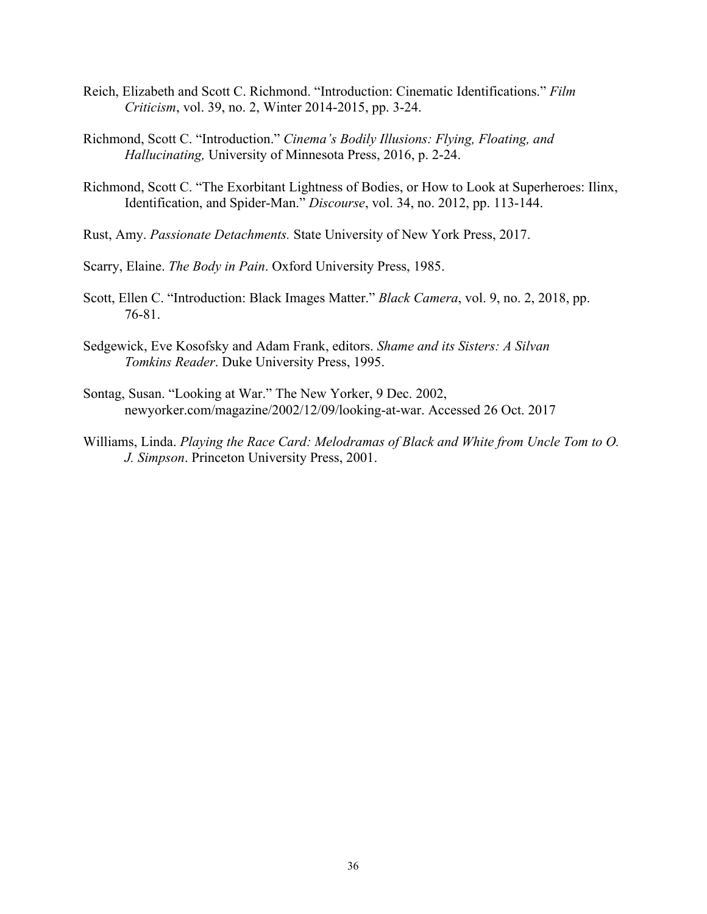- Reich, Elizabeth and Scott C. Richmond. "Introduction: Cinematic Identifications." *Film Criticism*, vol. 39, no. 2, Winter 2014-2015, pp. 3-24.
- Richmond, Scott C. "Introduction." *Cinema's Bodily Illusions: Flying, Floating, and Hallucinating,* University of Minnesota Press, 2016, p. 2-24.
- Richmond, Scott C. "The Exorbitant Lightness of Bodies, or How to Look at Superheroes: Ilinx, Identification, and Spider-Man." *Discourse*, vol. 34, no. 2012, pp. 113-144.
- Rust, Amy. *Passionate Detachments.* State University of New York Press, 2017.
- Scarry, Elaine. *The Body in Pain*. Oxford University Press, 1985.
- Scott, Ellen C. "Introduction: Black Images Matter." *Black Camera*, vol. 9, no. 2, 2018, pp. 76-81.
- Sedgewick, Eve Kosofsky and Adam Frank, editors. *Shame and its Sisters: A Silvan Tomkins Reader*. Duke University Press, 1995.
- Sontag, Susan. "Looking at War." The New Yorker, 9 Dec. 2002, newyorker.com/magazine/2002/12/09/looking-at-war. Accessed 26 Oct. 2017
- Williams, Linda. *Playing the Race Card: Melodramas of Black and White from Uncle Tom to O. J. Simpson*. Princeton University Press, 2001.